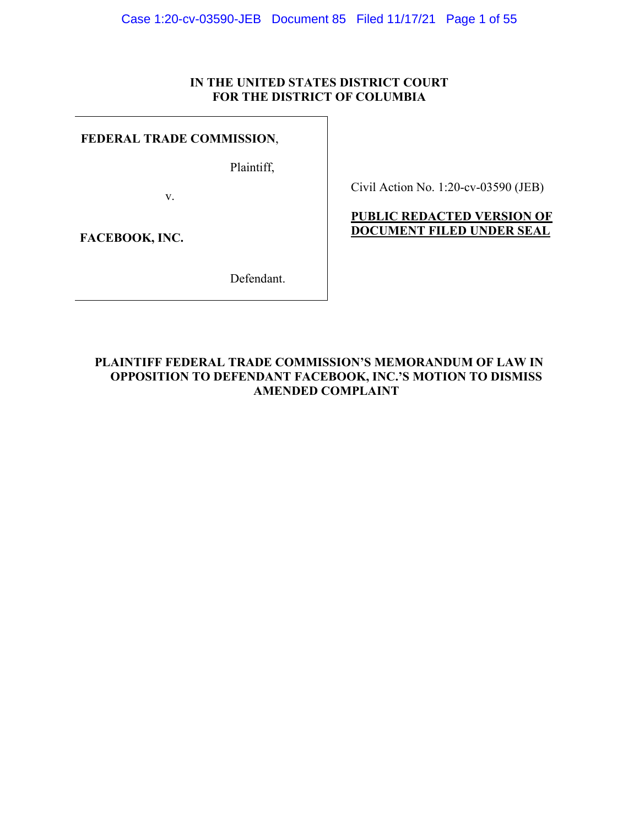# **IN THE UNITED STATES DISTRICT COURT FOR THE DISTRICT OF COLUMBIA**

# <span id="page-0-0"></span>**FEDERAL TRADE COMMISSION**,

Plaintiff,

v.

Civil Action No. 1:20-cv-03590 (JEB)

# **PUBLIC REDACTED VERSION OF DOCUMENT FILED UNDER SEAL**

**FACEBOOK, INC.** 

Defendant.

# **PLAINTIFF FEDERAL TRADE COMMISSION'S MEMORANDUM OF LAW IN OPPOSITION TO DEFENDANT FACEBOOK, INC.'S MOTION TO DISMISS AMENDED COMPLAINT**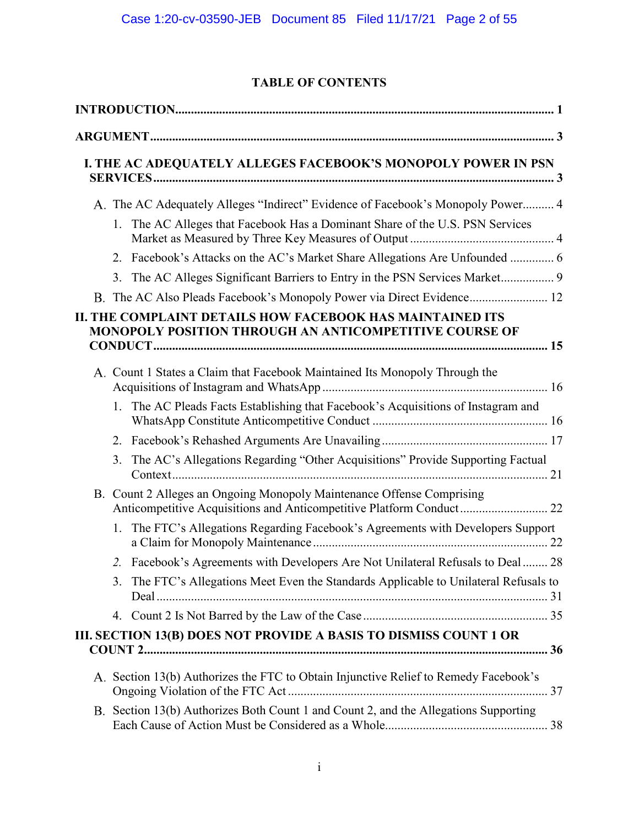# **TABLE OF CONTENTS**

|    | I. THE AC ADEQUATELY ALLEGES FACEBOOK'S MONOPOLY POWER IN PSN                                                                                 |  |
|----|-----------------------------------------------------------------------------------------------------------------------------------------------|--|
|    | A. The AC Adequately Alleges "Indirect" Evidence of Facebook's Monopoly Power 4                                                               |  |
|    | 1. The AC Alleges that Facebook Has a Dominant Share of the U.S. PSN Services                                                                 |  |
|    | 2. Facebook's Attacks on the AC's Market Share Allegations Are Unfounded  6                                                                   |  |
| 3. |                                                                                                                                               |  |
|    | B. The AC Also Pleads Facebook's Monopoly Power via Direct Evidence 12                                                                        |  |
|    | II. THE COMPLAINT DETAILS HOW FACEBOOK HAS MAINTAINED ITS<br>MONOPOLY POSITION THROUGH AN ANTICOMPETITIVE COURSE OF                           |  |
|    | A. Count 1 States a Claim that Facebook Maintained Its Monopoly Through the                                                                   |  |
|    | 1. The AC Pleads Facts Establishing that Facebook's Acquisitions of Instagram and                                                             |  |
| 2. |                                                                                                                                               |  |
| 3. | The AC's Allegations Regarding "Other Acquisitions" Provide Supporting Factual                                                                |  |
|    | B. Count 2 Alleges an Ongoing Monopoly Maintenance Offense Comprising<br>Anticompetitive Acquisitions and Anticompetitive Platform Conduct 22 |  |
|    | 1. The FTC's Allegations Regarding Facebook's Agreements with Developers Support                                                              |  |
|    | 2. Facebook's Agreements with Developers Are Not Unilateral Refusals to Deal  28                                                              |  |
|    | 3. The FTC's Allegations Meet Even the Standards Applicable to Unilateral Refusals to                                                         |  |
|    |                                                                                                                                               |  |
|    | III. SECTION 13(B) DOES NOT PROVIDE A BASIS TO DISMISS COUNT 1 OR                                                                             |  |
|    | A. Section 13(b) Authorizes the FTC to Obtain Injunctive Relief to Remedy Facebook's                                                          |  |
|    | B. Section 13(b) Authorizes Both Count 1 and Count 2, and the Allegations Supporting                                                          |  |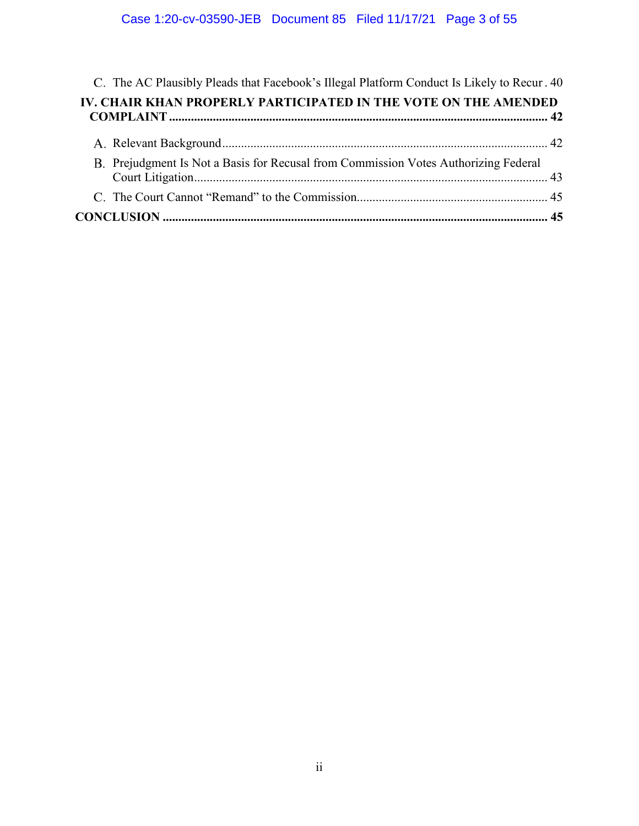<span id="page-2-0"></span>

| C. The AC Plausibly Pleads that Facebook's Illegal Platform Conduct Is Likely to Recur. 40 |  |
|--------------------------------------------------------------------------------------------|--|
| IV. CHAIR KHAN PROPERLY PARTICIPATED IN THE VOTE ON THE AMENDED                            |  |
|                                                                                            |  |
| B. Prejudgment Is Not a Basis for Recusal from Commission Votes Authorizing Federal        |  |
|                                                                                            |  |
|                                                                                            |  |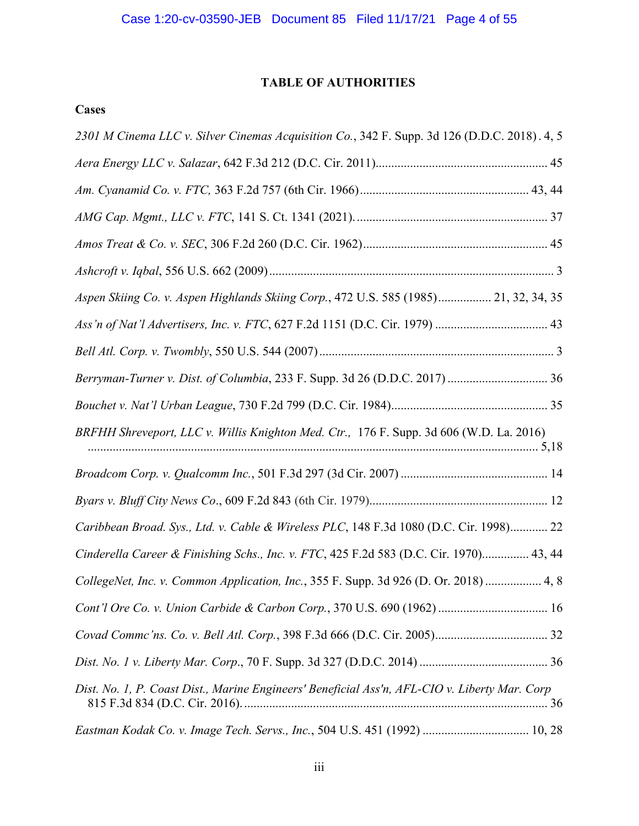# **TABLE OF AUTHORITIES**

# **Cases**

| 2301 M Cinema LLC v. Silver Cinemas Acquisition Co., 342 F. Supp. 3d 126 (D.D.C. 2018). 4, 5  |
|-----------------------------------------------------------------------------------------------|
|                                                                                               |
|                                                                                               |
|                                                                                               |
|                                                                                               |
|                                                                                               |
| Aspen Skiing Co. v. Aspen Highlands Skiing Corp., 472 U.S. 585 (1985) 21, 32, 34, 35          |
|                                                                                               |
|                                                                                               |
| Berryman-Turner v. Dist. of Columbia, 233 F. Supp. 3d 26 (D.D.C. 2017)  36                    |
|                                                                                               |
| BRFHH Shreveport, LLC v. Willis Knighton Med. Ctr., 176 F. Supp. 3d 606 (W.D. La. 2016)       |
|                                                                                               |
|                                                                                               |
| Caribbean Broad. Sys., Ltd. v. Cable & Wireless PLC, 148 F.3d 1080 (D.C. Cir. 1998) 22        |
| Cinderella Career & Finishing Schs., Inc. v. FTC, 425 F.2d 583 (D.C. Cir. 1970) 43, 44        |
| CollegeNet, Inc. v. Common Application, Inc., 355 F. Supp. 3d 926 (D. Or. 2018)  4, 8         |
|                                                                                               |
|                                                                                               |
|                                                                                               |
| Dist. No. 1, P. Coast Dist., Marine Engineers' Beneficial Ass'n, AFL-CIO v. Liberty Mar. Corp |
| Eastman Kodak Co. v. Image Tech. Servs., Inc., 504 U.S. 451 (1992)  10, 28                    |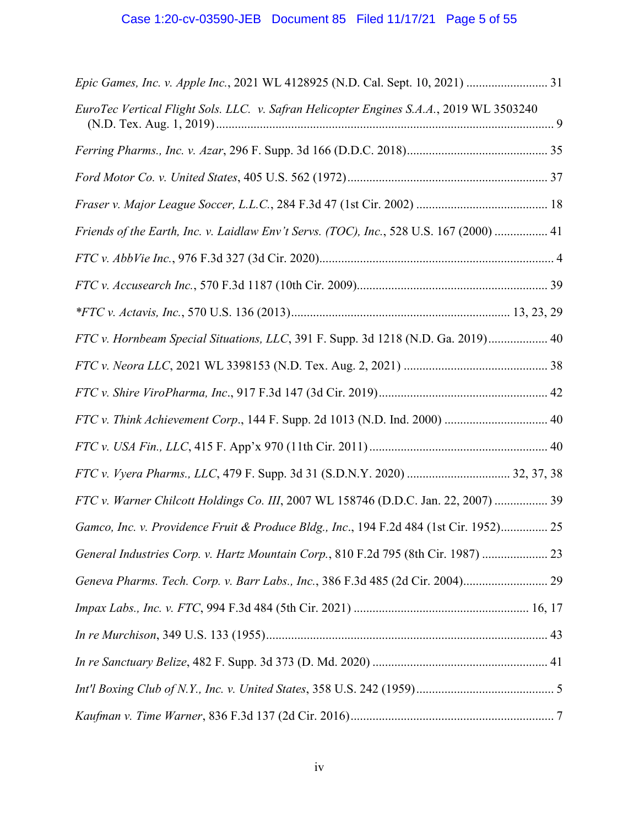# Case 1:20-cv-03590-JEB Document 85 Filed 11/17/21 Page 5 of 55

<span id="page-4-0"></span>

| Epic Games, Inc. v. Apple Inc., 2021 WL 4128925 (N.D. Cal. Sept. 10, 2021)  31          |
|-----------------------------------------------------------------------------------------|
| EuroTec Vertical Flight Sols. LLC. v. Safran Helicopter Engines S.A.A., 2019 WL 3503240 |
|                                                                                         |
|                                                                                         |
|                                                                                         |
| Friends of the Earth, Inc. v. Laidlaw Env't Servs. (TOC), Inc., 528 U.S. 167 (2000)  41 |
|                                                                                         |
|                                                                                         |
|                                                                                         |
| FTC v. Hornbeam Special Situations, LLC, 391 F. Supp. 3d 1218 (N.D. Ga. 2019) 40        |
|                                                                                         |
|                                                                                         |
| FTC v. Think Achievement Corp., 144 F. Supp. 2d 1013 (N.D. Ind. 2000)  40               |
|                                                                                         |
|                                                                                         |
| FTC v. Warner Chilcott Holdings Co. III, 2007 WL 158746 (D.D.C. Jan. 22, 2007)  39      |
| Gamco, Inc. v. Providence Fruit & Produce Bldg., Inc., 194 F.2d 484 (1st Cir. 1952) 25  |
| General Industries Corp. v. Hartz Mountain Corp., 810 F.2d 795 (8th Cir. 1987)  23      |
| Geneva Pharms. Tech. Corp. v. Barr Labs., Inc., 386 F.3d 485 (2d Cir. 2004) 29          |
|                                                                                         |
|                                                                                         |
|                                                                                         |
|                                                                                         |
|                                                                                         |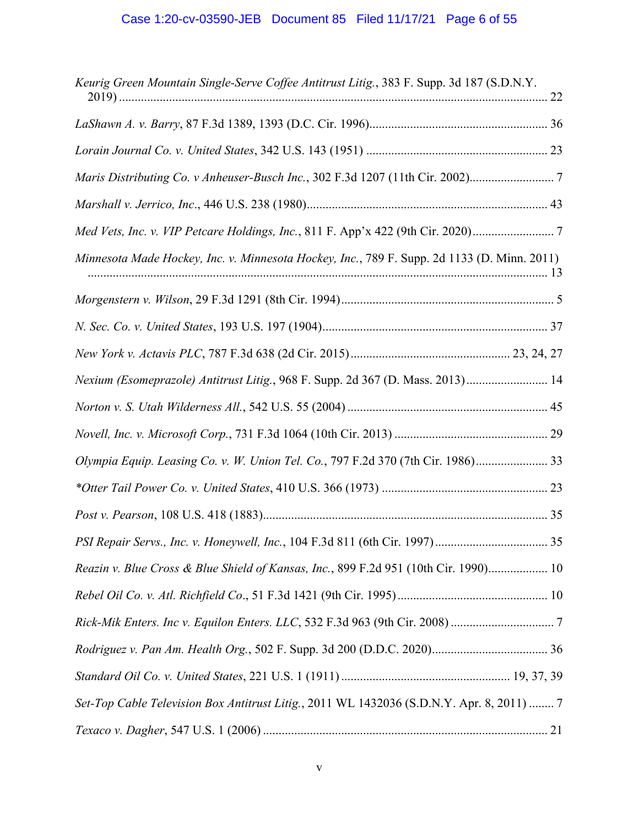| Keurig Green Mountain Single-Serve Coffee Antitrust Litig., 383 F. Supp. 3d 187 (S.D.N.Y.   |
|---------------------------------------------------------------------------------------------|
|                                                                                             |
|                                                                                             |
|                                                                                             |
|                                                                                             |
| Med Vets, Inc. v. VIP Petcare Holdings, Inc., 811 F. App'x 422 (9th Cir. 2020)              |
| Minnesota Made Hockey, Inc. v. Minnesota Hockey, Inc., 789 F. Supp. 2d 1133 (D. Minn. 2011) |
|                                                                                             |
|                                                                                             |
|                                                                                             |
| Nexium (Esomeprazole) Antitrust Litig., 968 F. Supp. 2d 367 (D. Mass. 2013) 14              |
|                                                                                             |
|                                                                                             |
| Olympia Equip. Leasing Co. v. W. Union Tel. Co., 797 F.2d 370 (7th Cir. 1986) 33            |
|                                                                                             |
|                                                                                             |
|                                                                                             |
| Reazin v. Blue Cross & Blue Shield of Kansas, Inc., 899 F.2d 951 (10th Cir. 1990) 10        |
|                                                                                             |
|                                                                                             |
|                                                                                             |
|                                                                                             |
| Set-Top Cable Television Box Antitrust Litig., 2011 WL 1432036 (S.D.N.Y. Apr. 8, 2011)  7   |
|                                                                                             |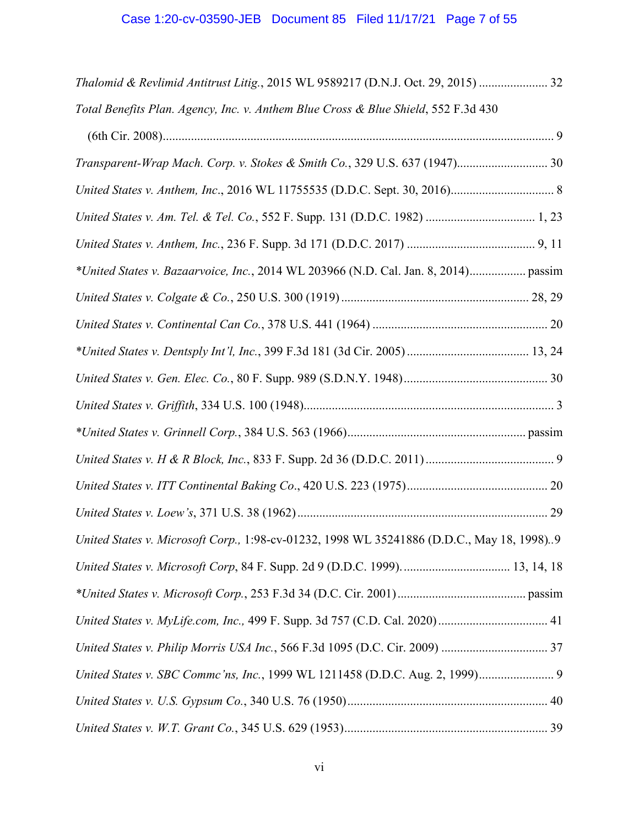# Case 1:20-cv-03590-JEB Document 85 Filed 11/17/21 Page 7 of 55

<span id="page-6-0"></span>

| Thalomid & Revlimid Antitrust Litig., 2015 WL 9589217 (D.N.J. Oct. 29, 2015)  32          |
|-------------------------------------------------------------------------------------------|
| Total Benefits Plan. Agency, Inc. v. Anthem Blue Cross & Blue Shield, 552 F.3d 430        |
|                                                                                           |
| Transparent-Wrap Mach. Corp. v. Stokes & Smith Co., 329 U.S. 637 (1947) 30                |
|                                                                                           |
|                                                                                           |
|                                                                                           |
| *United States v. Bazaarvoice, Inc., 2014 WL 203966 (N.D. Cal. Jan. 8, 2014) passim       |
|                                                                                           |
|                                                                                           |
|                                                                                           |
|                                                                                           |
|                                                                                           |
|                                                                                           |
|                                                                                           |
|                                                                                           |
|                                                                                           |
| United States v. Microsoft Corp., 1:98-cv-01232, 1998 WL 35241886 (D.D.C., May 18, 1998)9 |
|                                                                                           |
|                                                                                           |
|                                                                                           |
|                                                                                           |
| United States v. SBC Commc'ns, Inc., 1999 WL 1211458 (D.D.C. Aug. 2, 1999) 9              |
|                                                                                           |
|                                                                                           |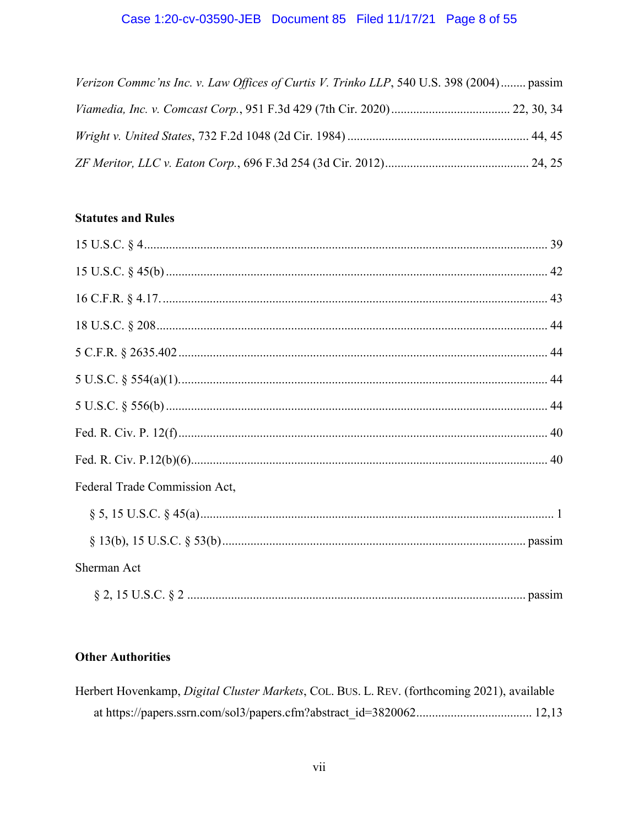# Case 1:20-cv-03590-JEB Document 85 Filed 11/17/21 Page 8 of 55

<span id="page-7-0"></span>

| Verizon Commc'ns Inc. v. Law Offices of Curtis V. Trinko LLP, 540 U.S. 398 (2004) passim |  |
|------------------------------------------------------------------------------------------|--|
|                                                                                          |  |
|                                                                                          |  |
|                                                                                          |  |

# **Statutes and Rules**

| Federal Trade Commission Act, |  |
|-------------------------------|--|
|                               |  |
|                               |  |
| Sherman Act                   |  |
|                               |  |

# **Other Authorities**

| Herbert Hovenkamp, <i>Digital Cluster Markets</i> , Col. BUS. L. REV. (forthcoming 2021), available |  |
|-----------------------------------------------------------------------------------------------------|--|
|                                                                                                     |  |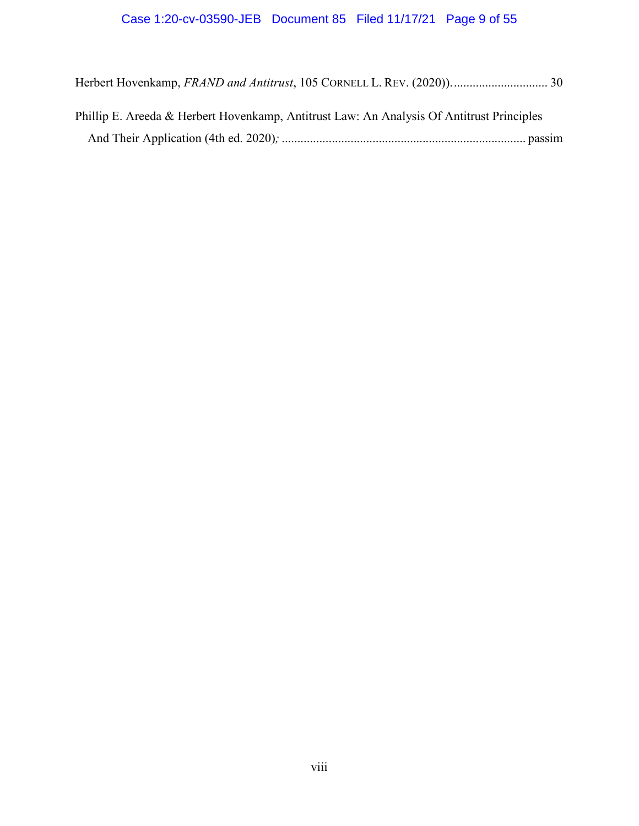<span id="page-8-0"></span>

| Phillip E. Areeda & Herbert Hovenkamp, Antitrust Law: An Analysis Of Antitrust Principles |  |
|-------------------------------------------------------------------------------------------|--|
|                                                                                           |  |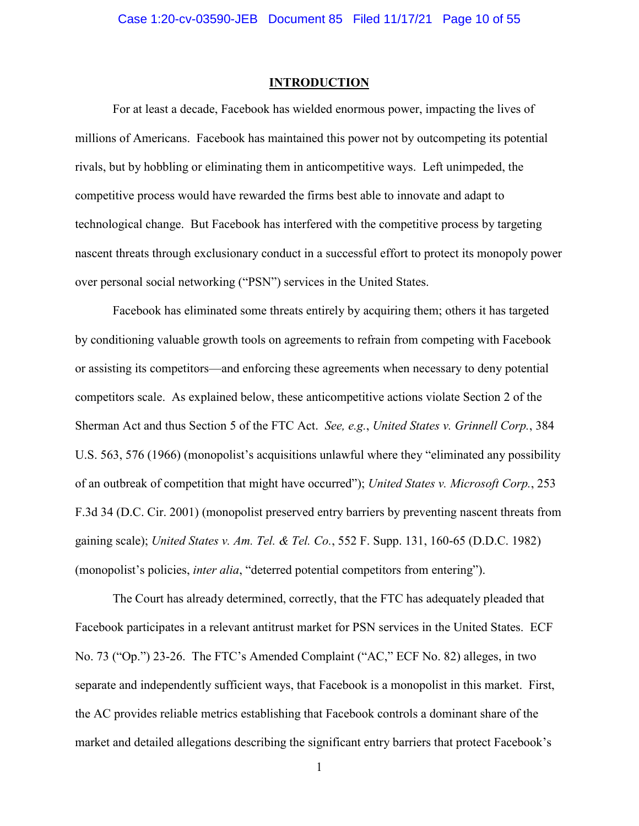#### **INTRODUCTION**

 rivals, but by hobbling or eliminating them in anticompetitive ways. Left unimpeded, the For at least a decade, Facebook has wielded enormous power, impacting the lives of millions of Americans. Facebook has maintained this power not by outcompeting its potential competitive process would have rewarded the firms best able to innovate and adapt to technological change. But Facebook has interfered with the competitive process by targeting nascent threats through exclusionary conduct in a successful effort to protect its monopoly power over personal social networking ("PSN") services in the United States.

(monopolist's policies, *inter alia*, "deterred potential competitors from entering"). Facebook has eliminated some threats entirely by acquiring them; others it has targeted by conditioning valuable growth tools on agreements to refrain from competing with Facebook or assisting its competitors—and enforcing these agreements when necessary to deny potential competitors scale. As explained below, these anticompetitive actions violate Section 2 of the Sherman Act and thus Section 5 of the FTC Act. *See, e.g.*, *United States v. Grinnell Corp.*, 384 U.S. 563, 576 (1966) (monopolist's acquisitions unlawful where they "eliminated any possibility of an outbreak of competition that might have occurred"); *United States v. Microsoft Corp.*, 253 F.3d 34 (D.C. Cir. 2001) (monopolist preserved entry barriers by preventing nascent threats from gaining scale); *United States v. Am. Tel. & Tel. Co.*, 552 F. Supp. 131, 160-65 (D.D.C. 1982)

 Facebook participates in a relevant antitrust market for PSN services in the United States. ECF The Court has already determined, correctly, that the FTC has adequately pleaded that No. 73 ("Op.") 23-26. The FTC's Amended Complaint ("AC," ECF No. 82) alleges, in two separate and independently sufficient ways, that Facebook is a monopolist in this market. First, the AC provides reliable metrics establishing that Facebook controls a dominant share of the market and detailed allegations describing the significant entry barriers that protect Facebook's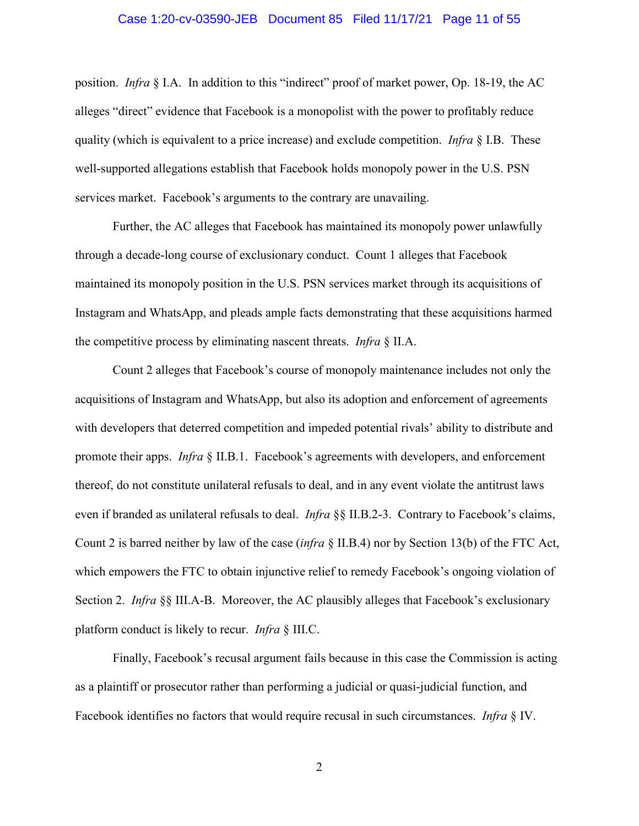#### Case 1:20-cv-03590-JEB Document 85 Filed 11/17/21 Page 11 of 55

<span id="page-10-0"></span> alleges "direct" evidence that Facebook is a monopolist with the power to profitably reduce position. *Infra* § I.A. In addition to this "indirect" proof of market power, Op. 18-19, the AC quality (which is equivalent to a price increase) and exclude competition. *Infra* § I.B. These well-supported allegations establish that Facebook holds monopoly power in the U.S. PSN services market. Facebook's arguments to the contrary are unavailing.

 Further, the AC alleges that Facebook has maintained its monopoly power unlawfully Instagram and WhatsApp, and pleads ample facts demonstrating that these acquisitions harmed the competitive process by eliminating nascent threats. *Infra* § II.A. through a decade-long course of exclusionary conduct. Count 1 alleges that Facebook maintained its monopoly position in the U.S. PSN services market through its acquisitions of

 Count 2 alleges that Facebook's course of monopoly maintenance includes not only the even if branded as unilateral refusals to deal. *Infra* §§ II.B.2-3. Contrary to Facebook's claims, platform conduct is likely to recur. *Infra* § III.C. acquisitions of Instagram and WhatsApp, but also its adoption and enforcement of agreements with developers that deterred competition and impeded potential rivals' ability to distribute and promote their apps. *Infra* § II.B.1. Facebook's agreements with developers, and enforcement thereof, do not constitute unilateral refusals to deal, and in any event violate the antitrust laws Count 2 is barred neither by law of the case (*infra* § II.B.4) nor by Section 13(b) of the FTC Act, which empowers the FTC to obtain injunctive relief to remedy Facebook's ongoing violation of Section 2. *Infra* §§ III.A-B. Moreover, the AC plausibly alleges that Facebook's exclusionary

 Facebook identifies no factors that would require recusal in such circumstances. *Infra* § IV. Finally, Facebook's recusal argument fails because in this case the Commission is acting as a plaintiff or prosecutor rather than performing a judicial or quasi-judicial function, and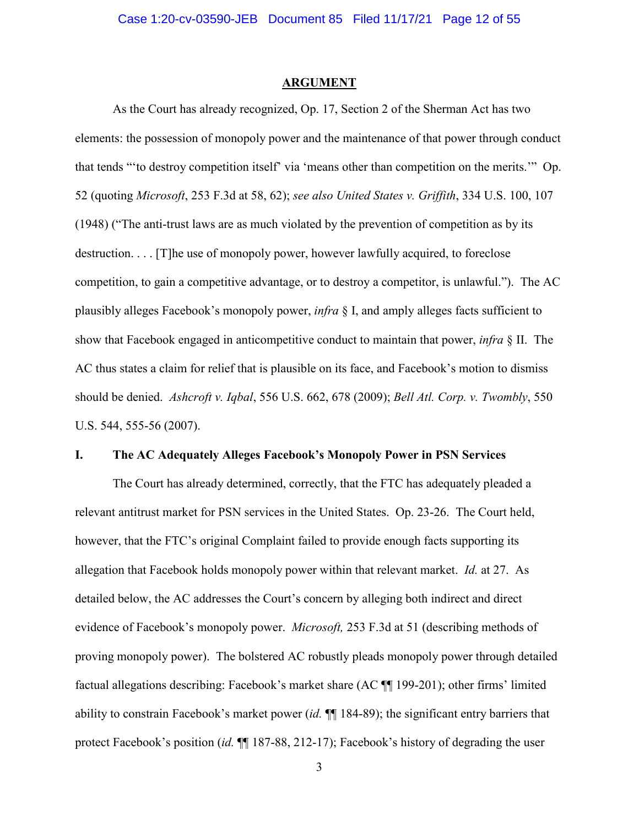#### **ARGUMENT**

 As the Court has already recognized, Op. 17, Section 2 of the Sherman Act has two plausibly alleges Facebook's monopoly power, *infra* § I, and amply alleges facts sufficient to U.S. 544, 555-56 (2007). elements: the possession of monopoly power and the maintenance of that power through conduct that tends "'to destroy competition itself' via 'means other than competition on the merits.'" Op. 52 (quoting *Microsoft*, 253 F.3d at 58, 62); *see also United States v. Griffith*, 334 U.S. 100, 107 (1948) ("The anti-trust laws are as much violated by the prevention of competition as by its destruction. . . . [T]he use of monopoly power, however lawfully acquired, to foreclose competition, to gain a competitive advantage, or to destroy a competitor, is unlawful."). The AC show that Facebook engaged in anticompetitive conduct to maintain that power, *infra* § II. The AC thus states a claim for relief that is plausible on its face, and Facebook's motion to dismiss should be denied. *Ashcroft v. Iqbal*, 556 U.S. 662, 678 (2009); *Bell Atl. Corp. v. Twombly*, 550

#### **I. The AC Adequately Alleges Facebook's Monopoly Power in PSN Services**

 relevant antitrust market for PSN services in the United States. Op. 23-26. The Court held, allegation that Facebook holds monopoly power within that relevant market. *Id.* at 27. As The Court has already determined, correctly, that the FTC has adequately pleaded a however, that the FTC's original Complaint failed to provide enough facts supporting its detailed below, the AC addresses the Court's concern by alleging both indirect and direct evidence of Facebook's monopoly power. *Microsoft,* 253 F.3d at 51 (describing methods of proving monopoly power). The bolstered AC robustly pleads monopoly power through detailed factual allegations describing: Facebook's market share (AC ¶¶ 199-201); other firms' limited ability to constrain Facebook's market power (*id.* ¶¶ 184-89); the significant entry barriers that protect Facebook's position *(id.*  $\P$ [187-88, 212-17); Facebook's history of degrading the user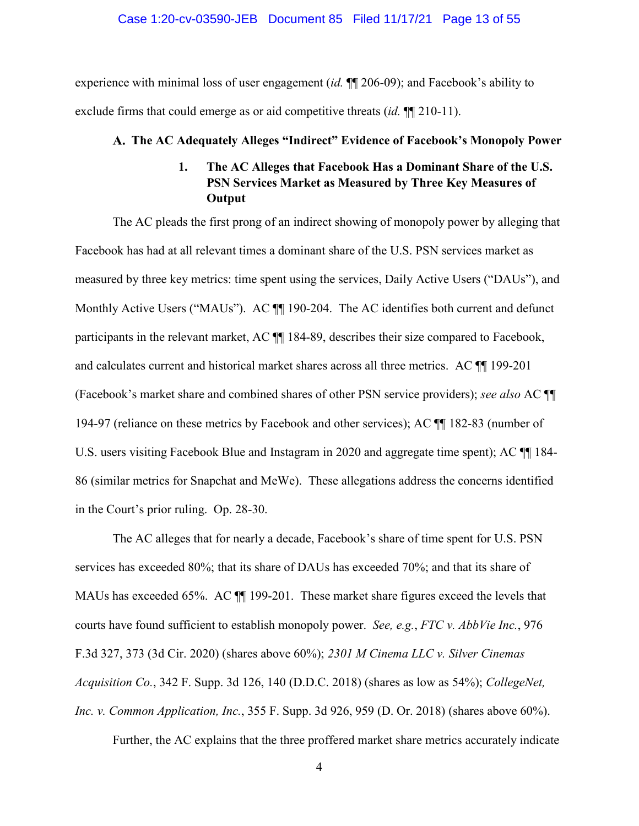#### Case 1:20-cv-03590-JEB Document 85 Filed 11/17/21 Page 13 of 55

<span id="page-12-0"></span> exclude firms that could emerge as or aid competitive threats (*id.* ¶¶ 210-11). experience with minimal loss of user engagement (*id.* ¶¶ 206-09); and Facebook's ability to

# **The AC Adequately Alleges "Indirect" Evidence of Facebook's Monopoly Power 1. The AC Alleges that Facebook Has a Dominant Share of the U.S.**

# **PSN Services Market as Measured by Three Key Measures of Output**

 The AC pleads the first prong of an indirect showing of monopoly power by alleging that Monthly Active Users ("MAUs"). AC  $\P$  190-204. The AC identifies both current and defunct (Facebook's market share and combined shares of other PSN service providers); *see also* AC ¶¶ 194-97 (reliance on these metrics by Facebook and other services); AC ¶¶ 182-83 (number of Facebook has had at all relevant times a dominant share of the U.S. PSN services market as measured by three key metrics: time spent using the services, Daily Active Users ("DAUs"), and participants in the relevant market, AC ¶¶ 184-89, describes their size compared to Facebook, and calculates current and historical market shares across all three metrics. AC ¶¶ 199-201 U.S. users visiting Facebook Blue and Instagram in 2020 and aggregate time spent); AC ¶¶ 184- 86 (similar metrics for Snapchat and MeWe). These allegations address the concerns identified in the Court's prior ruling. Op. 28-30.

 The AC alleges that for nearly a decade, Facebook's share of time spent for U.S. PSN MAUs has exceeded 65%. AC  $\P$  199-201. These market share figures exceed the levels that services has exceeded 80%; that its share of DAUs has exceeded 70%; and that its share of courts have found sufficient to establish monopoly power. *See, e.g.*, *FTC v. AbbVie Inc.*, 976 F.3d 327, 373 (3d Cir. 2020) (shares above 60%); *2301 M Cinema LLC v. Silver Cinemas Acquisition Co.*, 342 F. Supp. 3d 126, 140 (D.D.C. 2018) (shares as low as 54%); *CollegeNet, Inc. v. Common Application, Inc.*, 355 F. Supp. 3d 926, 959 (D. Or. 2018) (shares above 60%).

Further, the AC explains that the three proffered market share metrics accurately indicate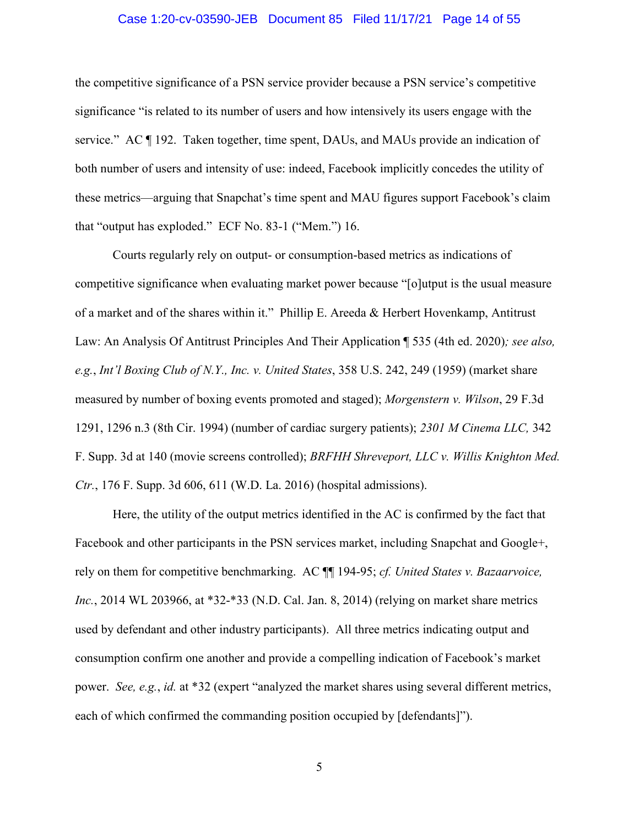#### Case 1:20-cv-03590-JEB Document 85 Filed 11/17/21 Page 14 of 55

the competitive significance of a PSN service provider because a PSN service's competitive significance "is related to its number of users and how intensively its users engage with the service." AC ¶ 192. Taken together, time spent, DAUs, and MAUs provide an indication of both number of users and intensity of use: indeed, Facebook implicitly concedes the utility of these metrics—arguing that Snapchat's time spent and MAU figures support Facebook's claim that "output has exploded." ECF No. 83-1 ("Mem.") 16.

 of a market and of the shares within it." Phillip E. Areeda & Herbert Hovenkamp, Antitrust Courts regularly rely on output- or consumption-based metrics as indications of competitive significance when evaluating market power because "[o]utput is the usual measure Law: An Analysis Of Antitrust Principles And Their Application ¶ 535 (4th ed. 2020)*; see also, e.g.*, *Int'l Boxing Club of N.Y., Inc. v. United States*, 358 U.S. 242, 249 (1959) (market share measured by number of boxing events promoted and staged); *Morgenstern v. Wilson*, 29 F.3d 1291, 1296 n.3 (8th Cir. 1994) (number of cardiac surgery patients); *2301 M Cinema LLC,* 342 F. Supp. 3d at 140 (movie screens controlled); *BRFHH Shreveport, LLC v. Willis Knighton Med. Ctr.*, 176 F. Supp. 3d 606, 611 (W.D. La. 2016) (hospital admissions).

 consumption confirm one another and provide a compelling indication of Facebook's market Here, the utility of the output metrics identified in the AC is confirmed by the fact that Facebook and other participants in the PSN services market, including Snapchat and Google+, rely on them for competitive benchmarking. AC ¶¶ 194-95; *cf. United States v. Bazaarvoice, Inc.*, 2014 WL 203966, at \*32-\*33 (N.D. Cal. Jan. 8, 2014) (relying on market share metrics used by defendant and other industry participants). All three metrics indicating output and power. *See, e.g.*, *id.* at \*32 (expert "analyzed the market shares using several different metrics, each of which confirmed the commanding position occupied by [defendants]").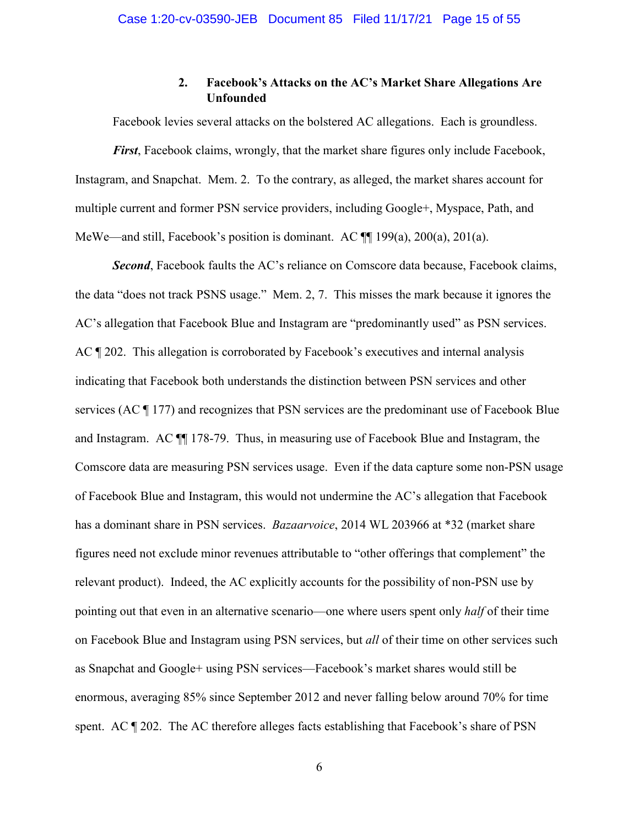# **2. Facebook's Attacks on the AC's Market Share Allegations Are Unfounded**

<span id="page-14-0"></span> Instagram, and Snapchat. Mem. 2. To the contrary, as alleged, the market shares account for Facebook levies several attacks on the bolstered AC allegations. Each is groundless. *First*, Facebook claims, wrongly, that the market share figures only include Facebook, multiple current and former PSN service providers, including Google+, Myspace, Path, and MeWe—and still, Facebook's position is dominant. AC ¶¶ 199(a), 200(a), 201(a).

 *Second*, Facebook faults the AC's reliance on Comscore data because, Facebook claims, Comscore data are measuring PSN services usage. Even if the data capture some non-PSN usage relevant product). Indeed, the AC explicitly accounts for the possibility of non-PSN use by spent. AC ¶ 202. The AC therefore alleges facts establishing that Facebook's share of PSN the data "does not track PSNS usage." Mem. 2, 7. This misses the mark because it ignores the AC's allegation that Facebook Blue and Instagram are "predominantly used" as PSN services. AC  $\parallel$  202. This allegation is corroborated by Facebook's executives and internal analysis indicating that Facebook both understands the distinction between PSN services and other services (AC ¶ 177) and recognizes that PSN services are the predominant use of Facebook Blue and Instagram. AC ¶¶ 178-79. Thus, in measuring use of Facebook Blue and Instagram, the of Facebook Blue and Instagram, this would not undermine the AC's allegation that Facebook has a dominant share in PSN services. *Bazaarvoice*, 2014 WL 203966 at \*32 (market share figures need not exclude minor revenues attributable to "other offerings that complement" the pointing out that even in an alternative scenario—one where users spent only *half* of their time on Facebook Blue and Instagram using PSN services, but *all* of their time on other services such as Snapchat and Google+ using PSN services—Facebook's market shares would still be enormous, averaging 85% since September 2012 and never falling below around 70% for time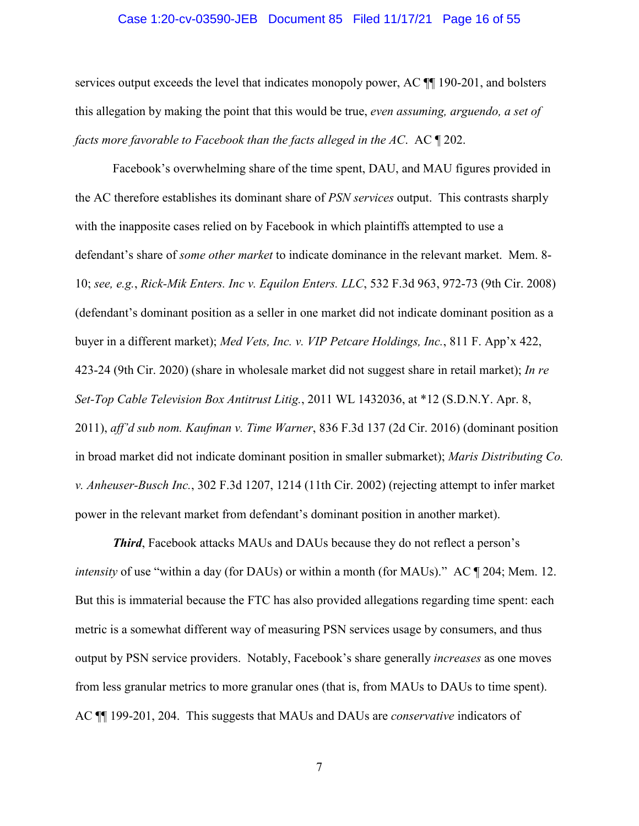#### Case 1:20-cv-03590-JEB Document 85 Filed 11/17/21 Page 16 of 55

*facts more favorable to Facebook than the facts alleged in the AC.* AC  $\P$  202. services output exceeds the level that indicates monopoly power, AC  $\P$  190-201, and bolsters this allegation by making the point that this would be true, *even assuming, arguendo, a set of* 

*facts more favorable to Facebook than the facts alleged in the AC*. AC ¶ 202.<br>Facebook's overwhelming share of the time spent, DAU, and MAU figures provided in the AC therefore establishes its dominant share of *PSN services* output. This contrasts sharply with the inapposite cases relied on by Facebook in which plaintiffs attempted to use a defendant's share of *some other market* to indicate dominance in the relevant market. Mem. 8- 10; *see, e.g.*, *Rick-Mik Enters. Inc v. Equilon Enters. LLC*, 532 F.3d 963, 972-73 (9th Cir. 2008) (defendant's dominant position as a seller in one market did not indicate dominant position as a buyer in a different market); *Med Vets, Inc. v. VIP Petcare Holdings, Inc.*, 811 F. App'x 422, 423-24 (9th Cir. 2020) (share in wholesale market did not suggest share in retail market); *In re Set-Top Cable Television Box Antitrust Litig.*, 2011 WL 1432036, at \*12 (S.D.N.Y. Apr. 8, 2011), *aff'd sub nom. Kaufman v. Time Warner*, 836 F.3d 137 (2d Cir. 2016) (dominant position in broad market did not indicate dominant position in smaller submarket); *Maris Distributing Co. v. Anheuser-Busch Inc.*, 302 F.3d 1207, 1214 (11th Cir. 2002) (rejecting attempt to infer market power in the relevant market from defendant's dominant position in another market).

 *Third*, Facebook attacks MAUs and DAUs because they do not reflect a person's *intensity* of use "within a day (for DAUs) or within a month (for MAUs)." AC ¶ 204; Mem. 12. output by PSN service providers. Notably, Facebook's share generally *increases* as one moves from less granular metrics to more granular ones (that is, from MAUs to DAUs to time spent). But this is immaterial because the FTC has also provided allegations regarding time spent: each metric is a somewhat different way of measuring PSN services usage by consumers, and thus AC ¶¶ 199-201, 204. This suggests that MAUs and DAUs are *conservative* indicators of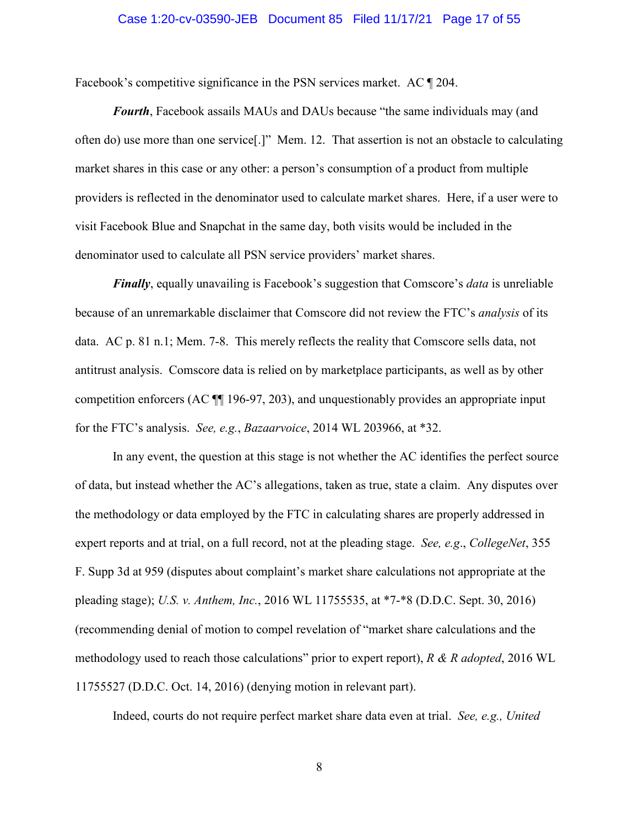#### Case 1:20-cv-03590-JEB Document 85 Filed 11/17/21 Page 17 of 55

<span id="page-16-0"></span>Facebook's competitive significance in the PSN services market. AC ¶ 204.

 *Fourth*, Facebook assails MAUs and DAUs because "the same individuals may (and providers is reflected in the denominator used to calculate market shares. Here, if a user were to denominator used to calculate all PSN service providers' market shares. often do) use more than one service[.]" Mem. 12. That assertion is not an obstacle to calculating market shares in this case or any other: a person's consumption of a product from multiple visit Facebook Blue and Snapchat in the same day, both visits would be included in the

 because of an unremarkable disclaimer that Comscore did not review the FTC's *analysis* of its data. AC p. 81 n.1; Mem. 7-8. This merely reflects the reality that Comscore sells data, not antitrust analysis. Comscore data is relied on by marketplace participants, as well as by other *Finally*, equally unavailing is Facebook's suggestion that Comscore's *data* is unreliable competition enforcers (AC ¶¶ 196-97, 203), and unquestionably provides an appropriate input for the FTC's analysis. *See, e.g.*, *Bazaarvoice*, 2014 WL 203966, at \*32.

 of data, but instead whether the AC's allegations, taken as true, state a claim. Any disputes over expert reports and at trial, on a full record, not at the pleading stage. *See, e.g*., *CollegeNet*, 355 F. Supp 3d at 959 (disputes about complaint's market share calculations not appropriate at the In any event, the question at this stage is not whether the AC identifies the perfect source the methodology or data employed by the FTC in calculating shares are properly addressed in pleading stage); *U.S. v. Anthem, Inc.*, 2016 WL 11755535, at \*7-\*8 (D.D.C. Sept. 30, 2016) (recommending denial of motion to compel revelation of "market share calculations and the methodology used to reach those calculations" prior to expert report), *R & R adopted*, 2016 WL 11755527 (D.D.C. Oct. 14, 2016) (denying motion in relevant part).

Indeed, courts do not require perfect market share data even at trial. *See, e.g., United*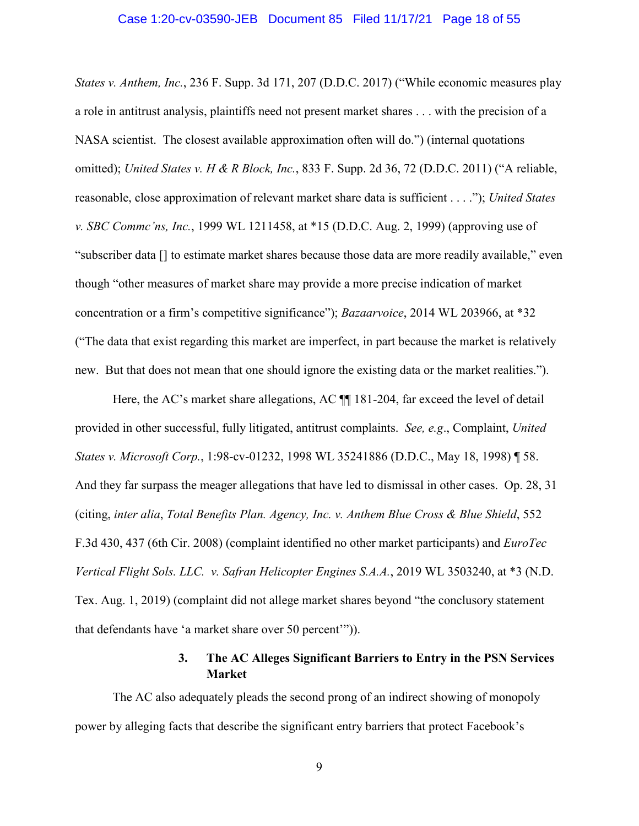#### Case 1:20-cv-03590-JEB Document 85 Filed 11/17/21 Page 18 of 55

*States v. Anthem, Inc.*, 236 F. Supp. 3d 171, 207 (D.D.C. 2017) ("While economic measures play a role in antitrust analysis, plaintiffs need not present market shares . . . with the precision of a NASA scientist. The closest available approximation often will do.") (internal quotations omitted); *United States v. H & R Block, Inc.*, 833 F. Supp. 2d 36, 72 (D.D.C. 2011) ("A reliable, reasonable, close approximation of relevant market share data is sufficient . . . ."); *United States v. SBC Commc'ns, Inc.*, 1999 WL 1211458, at \*15 (D.D.C. Aug. 2, 1999) (approving use of "subscriber data [] to estimate market shares because those data are more readily available," even though "other measures of market share may provide a more precise indication of market concentration or a firm's competitive significance"); *Bazaarvoice*, 2014 WL 203966, at \*32 ("The data that exist regarding this market are imperfect, in part because the market is relatively new. But that does not mean that one should ignore the existing data or the market realities.").

 *States v. Microsoft Corp.*, 1:98-cv-01232, 1998 WL 35241886 (D.D.C., May 18, 1998) ¶ 58. And they far surpass the meager allegations that have led to dismissal in other cases. Op. 28, 31 F.3d 430, 437 (6th Cir. 2008) (complaint identified no other market participants) and *EuroTec*  that defendants have 'a market share over 50 percent'")). Here, the AC's market share allegations, AC  $\P$  181-204, far exceed the level of detail provided in other successful, fully litigated, antitrust complaints. *See, e.g*., Complaint, *United*  (citing, *inter alia*, *Total Benefits Plan. Agency, Inc. v. Anthem Blue Cross & Blue Shield*, 552 *Vertical Flight Sols. LLC. v. Safran Helicopter Engines S.A.A.*, 2019 WL 3503240, at \*3 (N.D. Tex. Aug. 1, 2019) (complaint did not allege market shares beyond "the conclusory statement

# **3. The AC Alleges Significant Barriers to Entry in the PSN Services Market**

The AC also adequately pleads the second prong of an indirect showing of monopoly power by alleging facts that describe the significant entry barriers that protect Facebook's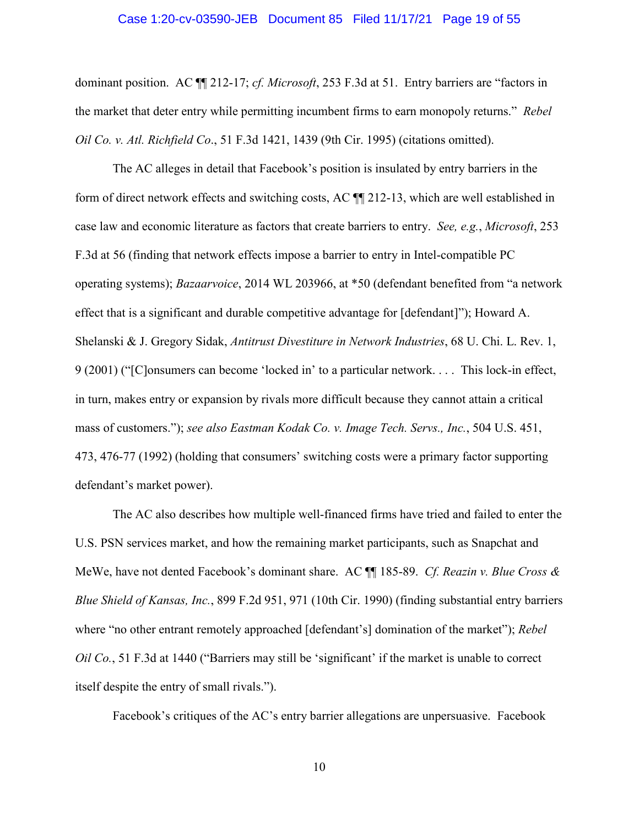#### Case 1:20-cv-03590-JEB Document 85 Filed 11/17/21 Page 19 of 55

<span id="page-18-0"></span>dominant position. AC ¶¶ 212-17; *cf. Microsoft*, 253 F.3d at 51. Entry barriers are "factors in the market that deter entry while permitting incumbent firms to earn monopoly returns." *Rebel Oil Co. v. Atl. Richfield Co*., 51 F.3d 1421, 1439 (9th Cir. 1995) (citations omitted).

The AC alleges in detail that Facebook's position is insulated by entry barriers in the form of direct network effects and switching costs, AC ¶¶ 212-13, which are well established in case law and economic literature as factors that create barriers to entry. *See, e.g.*, *Microsoft*, 253 F.3d at 56 (finding that network effects impose a barrier to entry in Intel-compatible PC operating systems); *Bazaarvoice*, 2014 WL 203966, at \*50 (defendant benefited from "a network effect that is a significant and durable competitive advantage for [defendant]"); Howard A. Shelanski & J. Gregory Sidak, *Antitrust Divestiture in Network Industries*, 68 U. Chi. L. Rev. 1, 9 (2001) ("[C]onsumers can become 'locked in' to a particular network. . . . This lock-in effect, in turn, makes entry or expansion by rivals more difficult because they cannot attain a critical mass of customers."); *see also Eastman Kodak Co. v. Image Tech. Servs., Inc.*, 504 U.S. 451, 473, 476-77 (1992) (holding that consumers' switching costs were a primary factor supporting defendant's market power).

 MeWe, have not dented Facebook's dominant share. AC ¶¶ 185-89. *Cf. Reazin v. Blue Cross &*  The AC also describes how multiple well-financed firms have tried and failed to enter the U.S. PSN services market, and how the remaining market participants, such as Snapchat and *Blue Shield of Kansas, Inc.*, 899 F.2d 951, 971 (10th Cir. 1990) (finding substantial entry barriers where "no other entrant remotely approached [defendant's] domination of the market"); *Rebel Oil Co.*, 51 F.3d at 1440 ("Barriers may still be 'significant' if the market is unable to correct itself despite the entry of small rivals.").

Facebook's critiques of the AC's entry barrier allegations are unpersuasive. Facebook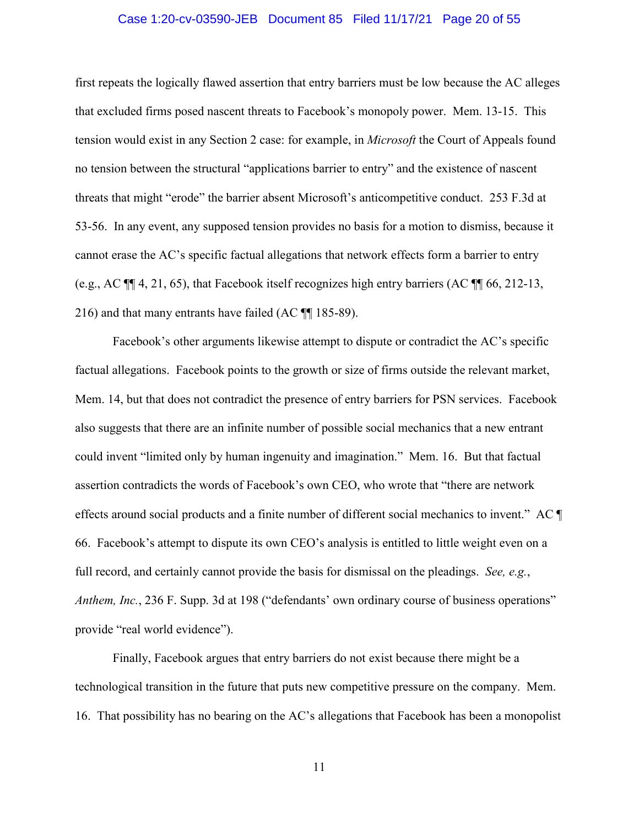#### Case 1:20-cv-03590-JEB Document 85 Filed 11/17/21 Page 20 of 55

<span id="page-19-0"></span> first repeats the logically flawed assertion that entry barriers must be low because the AC alleges that excluded firms posed nascent threats to Facebook's monopoly power. Mem. 13-15. This tension would exist in any Section 2 case: for example, in *Microsoft* the Court of Appeals found no tension between the structural "applications barrier to entry" and the existence of nascent threats that might "erode" the barrier absent Microsoft's anticompetitive conduct. 253 F.3d at 53-56. In any event, any supposed tension provides no basis for a motion to dismiss, because it cannot erase the AC's specific factual allegations that network effects form a barrier to entry (e.g., AC ¶¶ 4, 21, 65), that Facebook itself recognizes high entry barriers (AC ¶¶ 66, 212-13, 216) and that many entrants have failed (AC ¶¶ 185-89).

 66. Facebook's attempt to dispute its own CEO's analysis is entitled to little weight even on a *Anthem, Inc.*, 236 F. Supp. 3d at 198 ("defendants' own ordinary course of business operations" Facebook's other arguments likewise attempt to dispute or contradict the AC's specific factual allegations. Facebook points to the growth or size of firms outside the relevant market, Mem. 14, but that does not contradict the presence of entry barriers for PSN services. Facebook also suggests that there are an infinite number of possible social mechanics that a new entrant could invent "limited only by human ingenuity and imagination." Mem. 16. But that factual assertion contradicts the words of Facebook's own CEO, who wrote that "there are network effects around social products and a finite number of different social mechanics to invent." AC ¶ full record, and certainly cannot provide the basis for dismissal on the pleadings. *See, e.g.*, provide "real world evidence").

 Finally, Facebook argues that entry barriers do not exist because there might be a technological transition in the future that puts new competitive pressure on the company. Mem. 16. That possibility has no bearing on the AC's allegations that Facebook has been a monopolist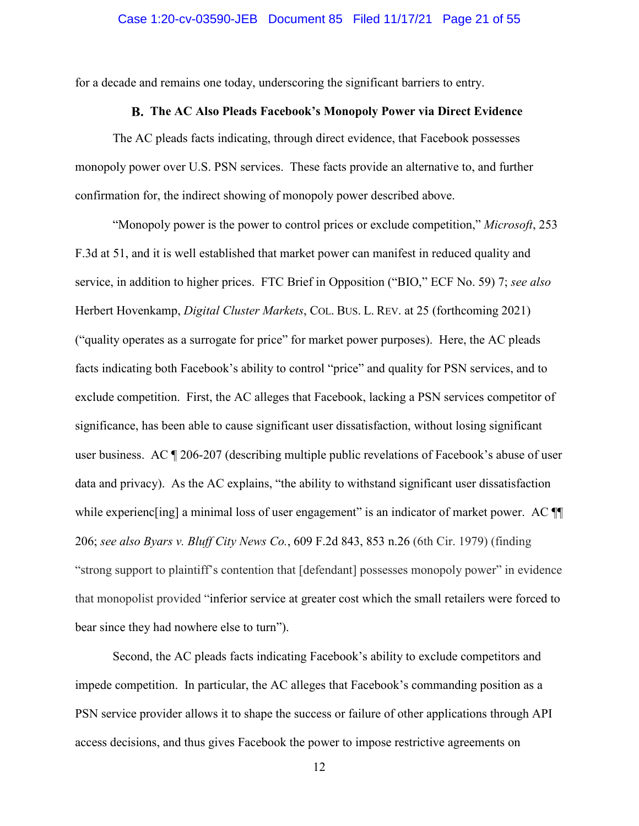<span id="page-20-0"></span>for a decade and remains one today, underscoring the significant barriers to entry.

#### **The AC Also Pleads Facebook's Monopoly Power via Direct Evidence**

The AC pleads facts indicating, through direct evidence, that Facebook possesses monopoly power over U.S. PSN services. These facts provide an alternative to, and further confirmation for, the indirect showing of monopoly power described above.

 Herbert Hovenkamp, *Digital Cluster Markets*, COL. BUS. L. REV. at 25 (forthcoming 2021) "Monopoly power is the power to control prices or exclude competition," *Microsoft*, 253 F.3d at 51, and it is well established that market power can manifest in reduced quality and service, in addition to higher prices. FTC Brief in Opposition ("BIO," ECF No. 59) 7; *see also*  ("quality operates as a surrogate for price" for market power purposes). Here, the AC pleads facts indicating both Facebook's ability to control "price" and quality for PSN services, and to exclude competition. First, the AC alleges that Facebook, lacking a PSN services competitor of significance, has been able to cause significant user dissatisfaction, without losing significant user business. AC ¶ 206-207 (describing multiple public revelations of Facebook's abuse of user data and privacy). As the AC explains, "the ability to withstand significant user dissatisfaction while experienc [ing] a minimal loss of user engagement" is an indicator of market power. AC  $\P$ 206; *see also Byars v. Bluff City News Co.*, 609 F.2d 843, 853 n.26 (6th Cir. 1979) (finding "strong support to plaintiff's contention that [defendant] possesses monopoly power" in evidence that monopolist provided "inferior service at greater cost which the small retailers were forced to bear since they had nowhere else to turn").

Second, the AC pleads facts indicating Facebook's ability to exclude competitors and impede competition. In particular, the AC alleges that Facebook's commanding position as a PSN service provider allows it to shape the success or failure of other applications through API access decisions, and thus gives Facebook the power to impose restrictive agreements on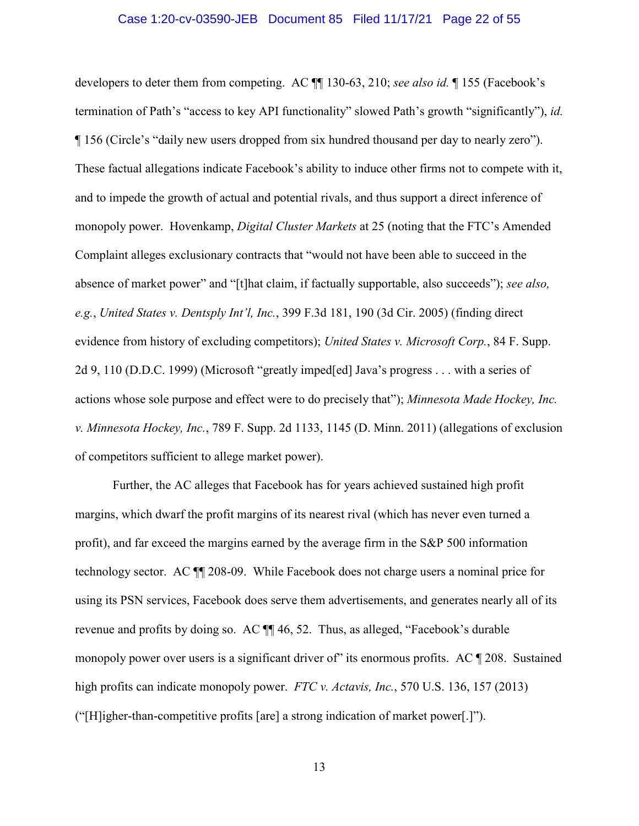#### Case 1:20-cv-03590-JEB Document 85 Filed 11/17/21 Page 22 of 55

<span id="page-21-0"></span> monopoly power. Hovenkamp, *Digital Cluster Markets* at 25 (noting that the FTC's Amended developers to deter them from competing. AC ¶¶ 130-63, 210; *see also id.* ¶ 155 (Facebook's termination of Path's "access to key API functionality" slowed Path's growth "significantly"), *id.*  ¶ 156 (Circle's "daily new users dropped from six hundred thousand per day to nearly zero"). These factual allegations indicate Facebook's ability to induce other firms not to compete with it, and to impede the growth of actual and potential rivals, and thus support a direct inference of Complaint alleges exclusionary contracts that "would not have been able to succeed in the absence of market power" and "[t]hat claim, if factually supportable, also succeeds"); *see also, e.g.*, *United States v. Dentsply Int'l, Inc.*, 399 F.3d 181, 190 (3d Cir. 2005) (finding direct evidence from history of excluding competitors); *United States v. Microsoft Corp.*, 84 F. Supp. 2d 9, 110 (D.D.C. 1999) (Microsoft "greatly imped[ed] Java's progress . . . with a series of actions whose sole purpose and effect were to do precisely that"); *Minnesota Made Hockey, Inc. v. Minnesota Hockey, Inc.*, 789 F. Supp. 2d 1133, 1145 (D. Minn. 2011) (allegations of exclusion of competitors sufficient to allege market power).

 high profits can indicate monopoly power. *FTC v. Actavis, Inc.*, 570 U.S. 136, 157 (2013) Further, the AC alleges that Facebook has for years achieved sustained high profit margins, which dwarf the profit margins of its nearest rival (which has never even turned a profit), and far exceed the margins earned by the average firm in the S&P 500 information technology sector. AC ¶¶ 208-09. While Facebook does not charge users a nominal price for using its PSN services, Facebook does serve them advertisements, and generates nearly all of its revenue and profits by doing so. AC ¶¶ 46, 52. Thus, as alleged, "Facebook's durable monopoly power over users is a significant driver of its enormous profits. AC ¶ 208. Sustained ("[H]igher-than-competitive profits [are] a strong indication of market power[.]").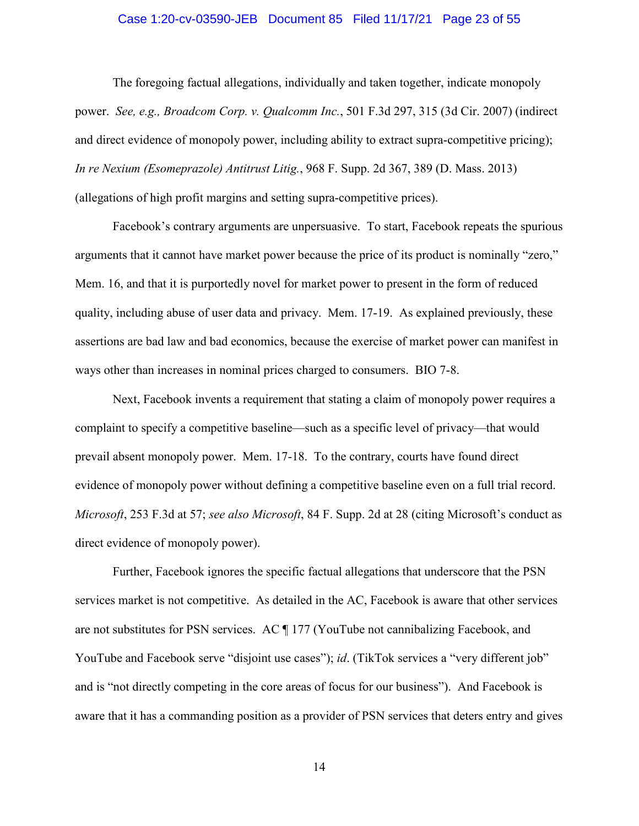#### Case 1:20-cv-03590-JEB Document 85 Filed 11/17/21 Page 23 of 55

<span id="page-22-0"></span>(allegations of high profit margins and setting supra-competitive prices). The foregoing factual allegations, individually and taken together, indicate monopoly power. *See, e.g., Broadcom Corp. v. Qualcomm Inc.*, 501 F.3d 297, 315 (3d Cir. 2007) (indirect and direct evidence of monopoly power, including ability to extract supra-competitive pricing); *In re Nexium (Esomeprazole) Antitrust Litig.*, 968 F. Supp. 2d 367, 389 (D. Mass. 2013)

 arguments that it cannot have market power because the price of its product is nominally "zero," quality, including abuse of user data and privacy. Mem. 17-19. As explained previously, these Facebook's contrary arguments are unpersuasive. To start, Facebook repeats the spurious Mem. 16, and that it is purportedly novel for market power to present in the form of reduced assertions are bad law and bad economics, because the exercise of market power can manifest in ways other than increases in nominal prices charged to consumers. BIO 7-8.

 evidence of monopoly power without defining a competitive baseline even on a full trial record. *Microsoft*, 253 F.3d at 57; *see also Microsoft*, 84 F. Supp. 2d at 28 (citing Microsoft's conduct as Next, Facebook invents a requirement that stating a claim of monopoly power requires a complaint to specify a competitive baseline—such as a specific level of privacy—that would prevail absent monopoly power. Mem. 17-18. To the contrary, courts have found direct direct evidence of monopoly power).

 services market is not competitive. As detailed in the AC, Facebook is aware that other services aware that it has a commanding position as a provider of PSN services that deters entry and gives Further, Facebook ignores the specific factual allegations that underscore that the PSN are not substitutes for PSN services. AC ¶ 177 (YouTube not cannibalizing Facebook, and YouTube and Facebook serve "disjoint use cases"); *id.* (TikTok services a "very different job" and is "not directly competing in the core areas of focus for our business"). And Facebook is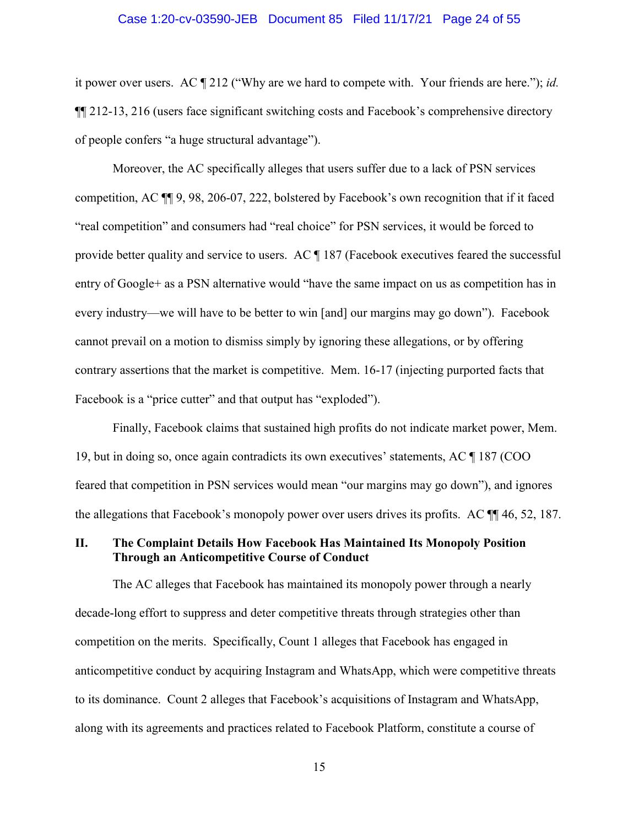#### Case 1:20-cv-03590-JEB Document 85 Filed 11/17/21 Page 24 of 55

<span id="page-23-0"></span> it power over users. AC ¶ 212 ("Why are we hard to compete with. Your friends are here."); *id.*  of people confers "a huge structural advantage"). ¶¶ 212-13, 216 (users face significant switching costs and Facebook's comprehensive directory

Moreover, the AC specifically alleges that users suffer due to a lack of PSN services competition, AC ¶¶ 9, 98, 206-07, 222, bolstered by Facebook's own recognition that if it faced "real competition" and consumers had "real choice" for PSN services, it would be forced to provide better quality and service to users. AC ¶ 187 (Facebook executives feared the successful entry of Google+ as a PSN alternative would "have the same impact on us as competition has in every industry—we will have to be better to win [and] our margins may go down"). Facebook cannot prevail on a motion to dismiss simply by ignoring these allegations, or by offering contrary assertions that the market is competitive. Mem. 16-17 (injecting purported facts that Facebook is a "price cutter" and that output has "exploded").

 Finally, Facebook claims that sustained high profits do not indicate market power, Mem. 19, but in doing so, once again contradicts its own executives' statements, AC ¶ 187 (COO feared that competition in PSN services would mean "our margins may go down"), and ignores the allegations that Facebook's monopoly power over users drives its profits. AC ¶¶ 46, 52, 187.

## **II. The Complaint Details How Facebook Has Maintained Its Monopoly Position Through an Anticompetitive Course of Conduct**

The AC alleges that Facebook has maintained its monopoly power through a nearly decade-long effort to suppress and deter competitive threats through strategies other than competition on the merits. Specifically, Count 1 alleges that Facebook has engaged in anticompetitive conduct by acquiring Instagram and WhatsApp, which were competitive threats to its dominance. Count 2 alleges that Facebook's acquisitions of Instagram and WhatsApp, along with its agreements and practices related to Facebook Platform, constitute a course of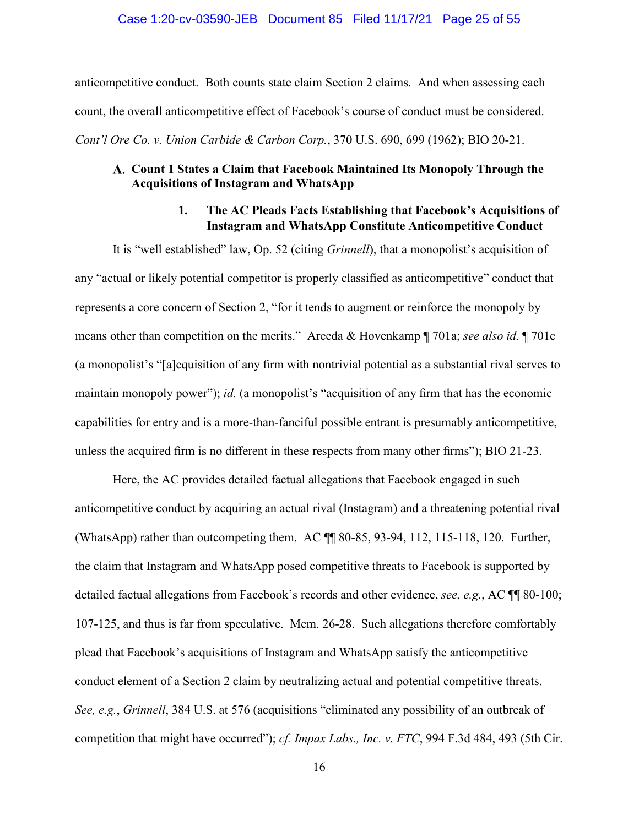#### Case 1:20-cv-03590-JEB Document 85 Filed 11/17/21 Page 25 of 55

<span id="page-24-0"></span>anticompetitive conduct. Both counts state claim Section 2 claims. And when assessing each count, the overall anticompetitive effect of Facebook's course of conduct must be considered. *Cont'l Ore Co. v. Union Carbide & Carbon Corp.*, 370 U.S. 690, 699 (1962); BIO 20-21.

## **Count 1 States a Claim that Facebook Maintained Its Monopoly Through the Acquisitions of Instagram and WhatsApp**

# **1. The AC Pleads Facts Establishing that Facebook's Acquisitions of Instagram and WhatsApp Constitute Anticompetitive Conduct**

 means other than competition on the merits." Areeda & Hovenkamp ¶ 701a; *see also id.* ¶ 701c maintain monopoly power"); *id.* (a monopolist's "acquisition of any firm that has the economic It is "well established" law, Op. 52 (citing *Grinnell*), that a monopolist's acquisition of any "actual or likely potential competitor is properly classified as anticompetitive" conduct that represents a core concern of Section 2, "for it tends to augment or reinforce the monopoly by (a monopolist's "[a]cquisition of any firm with nontrivial potential as a substantial rival serves to capabilities for entry and is a more-than-fanciful possible entrant is presumably anticompetitive, unless the acquired firm is no different in these respects from many other firms"); BIO 21-23.

 plead that Facebook's acquisitions of Instagram and WhatsApp satisfy the anticompetitive conduct element of a Section 2 claim by neutralizing actual and potential competitive threats. *See, e.g.*, *Grinnell*, 384 U.S. at 576 (acquisitions "eliminated any possibility of an outbreak of Here, the AC provides detailed factual allegations that Facebook engaged in such anticompetitive conduct by acquiring an actual rival (Instagram) and a threatening potential rival (WhatsApp) rather than outcompeting them. AC ¶¶ 80-85, 93-94, 112, 115-118, 120. Further, the claim that Instagram and WhatsApp posed competitive threats to Facebook is supported by detailed factual allegations from Facebook's records and other evidence, *see, e.g.*, AC ¶¶ 80-100; 107-125, and thus is far from speculative. Mem. 26-28. Such allegations therefore comfortably competition that might have occurred"); *cf. Impax Labs., Inc. v. FTC*, 994 F.3d 484, 493 (5th Cir.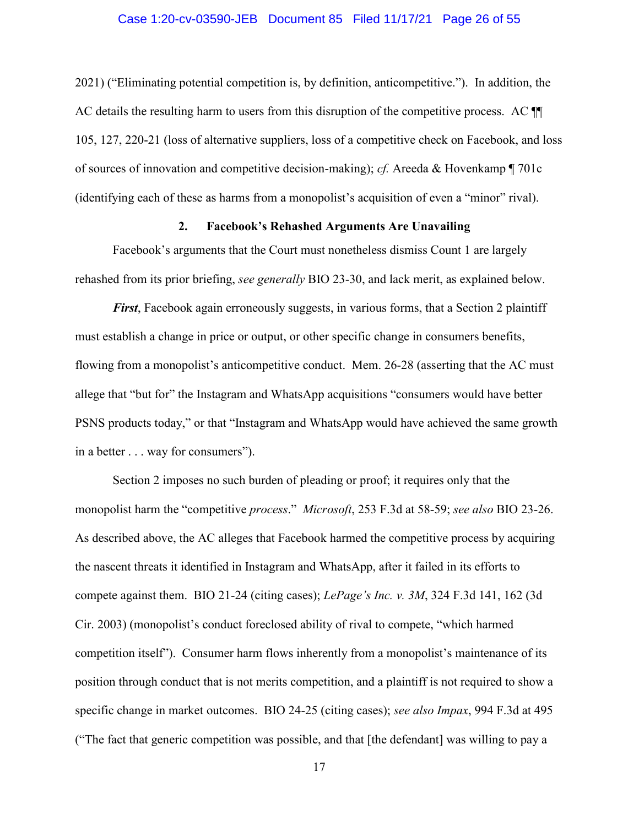#### Case 1:20-cv-03590-JEB Document 85 Filed 11/17/21 Page 26 of 55

 of sources of innovation and competitive decision-making); *cf.* Areeda & Hovenkamp ¶ 701c (identifying each of these as harms from a monopolist's acquisition of even a "minor" rival). 2021) ("Eliminating potential competition is, by definition, anticompetitive."). In addition, the AC details the resulting harm to users from this disruption of the competitive process. AC  $\P$ 105, 127, 220-21 (loss of alternative suppliers, loss of a competitive check on Facebook, and loss

#### **2. Facebook's Rehashed Arguments Are Unavailing**

Facebook's arguments that the Court must nonetheless dismiss Count 1 are largely rehashed from its prior briefing, *see generally* BIO 23-30, and lack merit, as explained below.

*First*, Facebook again erroneously suggests, in various forms, that a Section 2 plaintiff must establish a change in price or output, or other specific change in consumers benefits, flowing from a monopolist's anticompetitive conduct. Mem. 26-28 (asserting that the AC must allege that "but for" the Instagram and WhatsApp acquisitions "consumers would have better PSNS products today," or that "Instagram and WhatsApp would have achieved the same growth in a better . . . way for consumers").

 monopolist harm the "competitive *process*." *Microsoft*, 253 F.3d at 58-59; *see also* BIO 23-26. Section 2 imposes no such burden of pleading or proof; it requires only that the As described above, the AC alleges that Facebook harmed the competitive process by acquiring the nascent threats it identified in Instagram and WhatsApp, after it failed in its efforts to compete against them. BIO 21-24 (citing cases); *LePage's Inc. v. 3M*, 324 F.3d 141, 162 (3d Cir. 2003) (monopolist's conduct foreclosed ability of rival to compete, "which harmed competition itself"). Consumer harm flows inherently from a monopolist's maintenance of its position through conduct that is not merits competition, and a plaintiff is not required to show a specific change in market outcomes. BIO 24-25 (citing cases); *see also Impax*, 994 F.3d at 495 ("The fact that generic competition was possible, and that [the defendant] was willing to pay a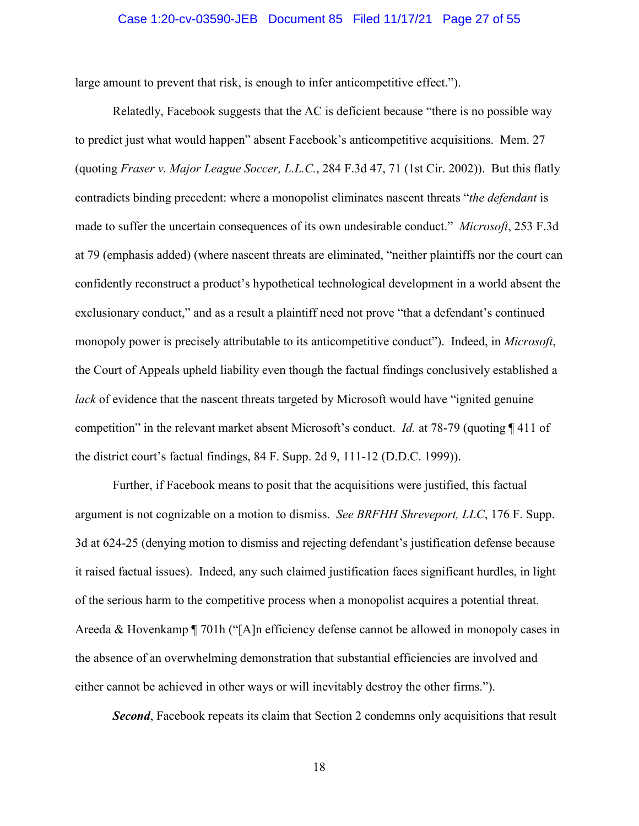#### Case 1:20-cv-03590-JEB Document 85 Filed 11/17/21 Page 27 of 55

<span id="page-26-0"></span>large amount to prevent that risk, is enough to infer anticompetitive effect.").

 made to suffer the uncertain consequences of its own undesirable conduct." *Microsoft*, 253 F.3d monopoly power is precisely attributable to its anticompetitive conduct"). Indeed, in *Microsoft*,  competition" in the relevant market absent Microsoft's conduct. *Id.* at 78-79 (quoting ¶ 411 of the district court's factual findings, 84 F. Supp. 2d 9, 111-12 (D.D.C. 1999)). Relatedly, Facebook suggests that the AC is deficient because "there is no possible way to predict just what would happen" absent Facebook's anticompetitive acquisitions. Mem. 27 (quoting *Fraser v. Major League Soccer, L.L.C.*, 284 F.3d 47, 71 (1st Cir. 2002)). But this flatly contradicts binding precedent: where a monopolist eliminates nascent threats "*the defendant* is at 79 (emphasis added) (where nascent threats are eliminated, "neither plaintiffs nor the court can confidently reconstruct a product's hypothetical technological development in a world absent the exclusionary conduct," and as a result a plaintiff need not prove "that a defendant's continued the Court of Appeals upheld liability even though the factual findings conclusively established a *lack* of evidence that the nascent threats targeted by Microsoft would have "ignited genuine"

 Areeda & Hovenkamp ¶ 701h ("[A]n efficiency defense cannot be allowed in monopoly cases in either cannot be achieved in other ways or will inevitably destroy the other firms."). Further, if Facebook means to posit that the acquisitions were justified, this factual argument is not cognizable on a motion to dismiss. *See BRFHH Shreveport, LLC*, 176 F. Supp. 3d at 624-25 (denying motion to dismiss and rejecting defendant's justification defense because it raised factual issues). Indeed, any such claimed justification faces significant hurdles, in light of the serious harm to the competitive process when a monopolist acquires a potential threat. the absence of an overwhelming demonstration that substantial efficiencies are involved and

**Second**, Facebook repeats its claim that Section 2 condemns only acquisitions that result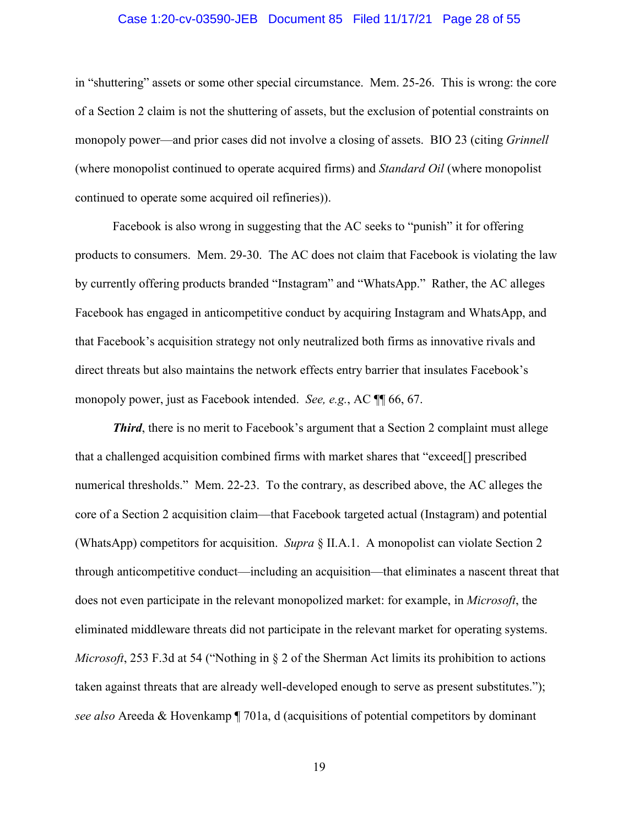#### Case 1:20-cv-03590-JEB Document 85 Filed 11/17/21 Page 28 of 55

 of a Section 2 claim is not the shuttering of assets, but the exclusion of potential constraints on monopoly power—and prior cases did not involve a closing of assets. BIO 23 (citing *Grinnell*  (where monopolist continued to operate acquired firms) and *Standard Oil* (where monopolist in "shuttering" assets or some other special circumstance. Mem. 25-26. This is wrong: the core continued to operate some acquired oil refineries)).

Facebook is also wrong in suggesting that the AC seeks to "punish" it for offering products to consumers. Mem. 29-30. The AC does not claim that Facebook is violating the law by currently offering products branded "Instagram" and "WhatsApp." Rather, the AC alleges Facebook has engaged in anticompetitive conduct by acquiring Instagram and WhatsApp, and that Facebook's acquisition strategy not only neutralized both firms as innovative rivals and direct threats but also maintains the network effects entry barrier that insulates Facebook's monopoly power, just as Facebook intended. *See, e.g.*, AC ¶¶ 66, 67.

 eliminated middleware threats did not participate in the relevant market for operating systems. *Third*, there is no merit to Facebook's argument that a Section 2 complaint must allege that a challenged acquisition combined firms with market shares that "exceed[] prescribed numerical thresholds." Mem. 22-23. To the contrary, as described above, the AC alleges the core of a Section 2 acquisition claim—that Facebook targeted actual (Instagram) and potential (WhatsApp) competitors for acquisition. *Supra* § II.A.1. A monopolist can violate Section 2 through anticompetitive conduct—including an acquisition—that eliminates a nascent threat that does not even participate in the relevant monopolized market: for example, in *Microsoft*, the *Microsoft*, 253 F.3d at 54 ("Nothing in § 2 of the Sherman Act limits its prohibition to actions taken against threats that are already well-developed enough to serve as present substitutes."); *see also* Areeda & Hovenkamp ¶ 701a, d (acquisitions of potential competitors by dominant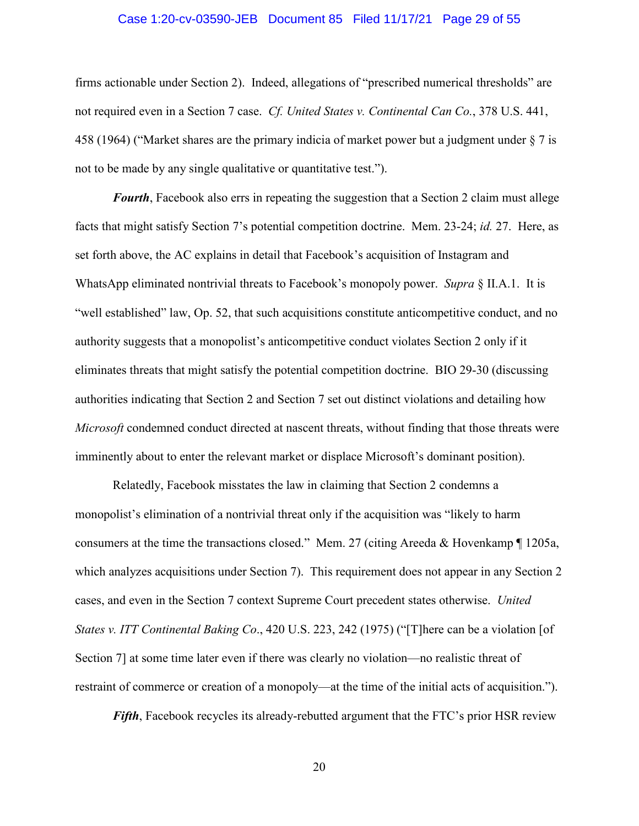#### Case 1:20-cv-03590-JEB Document 85 Filed 11/17/21 Page 29 of 55

 firms actionable under Section 2). Indeed, allegations of "prescribed numerical thresholds" are not to be made by any single qualitative or quantitative test."). not required even in a Section 7 case. *Cf. United States v. Continental Can Co.*, 378 U.S. 441, 458 (1964) ("Market shares are the primary indicia of market power but a judgment under § 7 is

 set forth above, the AC explains in detail that Facebook's acquisition of Instagram and WhatsApp eliminated nontrivial threats to Facebook's monopoly power. *Supra* § II.A.1. It is *Fourth*, Facebook also errs in repeating the suggestion that a Section 2 claim must allege facts that might satisfy Section 7's potential competition doctrine. Mem. 23-24; *id.* 27. Here, as "well established" law, Op. 52, that such acquisitions constitute anticompetitive conduct, and no authority suggests that a monopolist's anticompetitive conduct violates Section 2 only if it eliminates threats that might satisfy the potential competition doctrine. BIO 29-30 (discussing authorities indicating that Section 2 and Section 7 set out distinct violations and detailing how *Microsoft* condemned conduct directed at nascent threats, without finding that those threats were imminently about to enter the relevant market or displace Microsoft's dominant position).

 monopolist's elimination of a nontrivial threat only if the acquisition was "likely to harm restraint of commerce or creation of a monopoly—at the time of the initial acts of acquisition."). Relatedly, Facebook misstates the law in claiming that Section 2 condemns a consumers at the time the transactions closed." Mem. 27 (citing Areeda & Hovenkamp ¶ 1205a, which analyzes acquisitions under Section 7). This requirement does not appear in any Section 2 cases, and even in the Section 7 context Supreme Court precedent states otherwise. *United States v. ITT Continental Baking Co*., 420 U.S. 223, 242 (1975) ("[T]here can be a violation [of Section 7] at some time later even if there was clearly no violation—no realistic threat of

*Fifth*, Facebook recycles its already-rebutted argument that the FTC's prior HSR review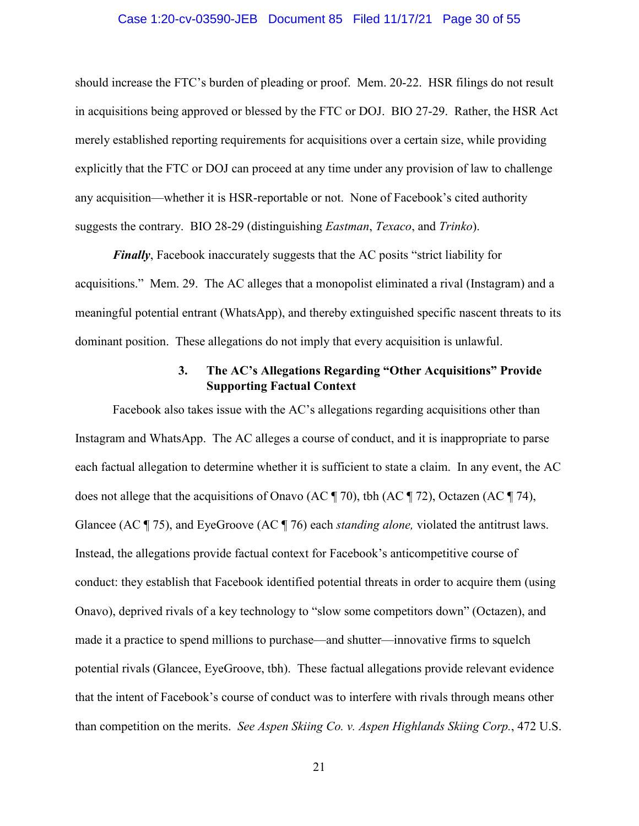#### Case 1:20-cv-03590-JEB Document 85 Filed 11/17/21 Page 30 of 55

<span id="page-29-0"></span> suggests the contrary. BIO 28-29 (distinguishing *Eastman*, *Texaco*, and *Trinko*). should increase the FTC's burden of pleading or proof. Mem. 20-22. HSR filings do not result in acquisitions being approved or blessed by the FTC or DOJ. BIO 27-29. Rather, the HSR Act merely established reporting requirements for acquisitions over a certain size, while providing explicitly that the FTC or DOJ can proceed at any time under any provision of law to challenge any acquisition—whether it is HSR-reportable or not. None of Facebook's cited authority

*Finally*, Facebook inaccurately suggests that the AC posits "strict liability for acquisitions." Mem. 29. The AC alleges that a monopolist eliminated a rival (Instagram) and a meaningful potential entrant (WhatsApp), and thereby extinguished specific nascent threats to its dominant position. These allegations do not imply that every acquisition is unlawful.

# **Supporting Factual Context 3. The AC's Allegations Regarding "Other Acquisitions" Provide**

 each factual allegation to determine whether it is sufficient to state a claim. In any event, the AC Glancee (AC ¶ 75), and EyeGroove (AC ¶ 76) each *standing alone,* violated the antitrust laws. Facebook also takes issue with the AC's allegations regarding acquisitions other than Instagram and WhatsApp. The AC alleges a course of conduct, and it is inappropriate to parse does not allege that the acquisitions of Onavo (AC ¶ 70), tbh (AC ¶ 72), Octazen (AC ¶ 74), Instead, the allegations provide factual context for Facebook's anticompetitive course of conduct: they establish that Facebook identified potential threats in order to acquire them (using Onavo), deprived rivals of a key technology to "slow some competitors down" (Octazen), and made it a practice to spend millions to purchase—and shutter—innovative firms to squelch potential rivals (Glancee, EyeGroove, tbh). These factual allegations provide relevant evidence that the intent of Facebook's course of conduct was to interfere with rivals through means other than competition on the merits. *See Aspen Skiing Co. v. Aspen Highlands Skiing Corp.*, 472 U.S.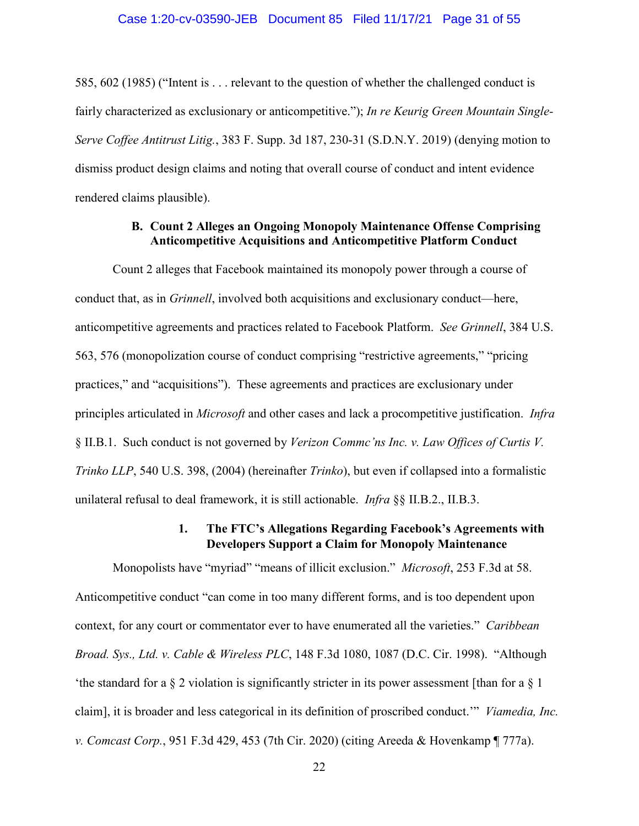#### Case 1:20-cv-03590-JEB Document 85 Filed 11/17/21 Page 31 of 55

<span id="page-30-0"></span>585, 602 (1985) ("Intent is . . . relevant to the question of whether the challenged conduct is fairly characterized as exclusionary or anticompetitive."); *In re Keurig Green Mountain Single-Serve Coffee Antitrust Litig.*, 383 F. Supp. 3d 187, 230-31 (S.D.N.Y. 2019) (denying motion to dismiss product design claims and noting that overall course of conduct and intent evidence rendered claims plausible).

#### **B. Count 2 Alleges an Ongoing Monopoly Maintenance Offense Comprising Anticompetitive Acquisitions and Anticompetitive Platform Conduct**

 Count 2 alleges that Facebook maintained its monopoly power through a course of conduct that, as in *Grinnell*, involved both acquisitions and exclusionary conduct—here, anticompetitive agreements and practices related to Facebook Platform. *See Grinnell*, 384 U.S. 563, 576 (monopolization course of conduct comprising "restrictive agreements," "pricing practices," and "acquisitions"). These agreements and practices are exclusionary under principles articulated in *Microsoft* and other cases and lack a procompetitive justification. *Infra*  § II.B.1. Such conduct is not governed by *Verizon Commc'ns Inc. v. Law Offices of Curtis V. Trinko LLP*, 540 U.S. 398, (2004) (hereinafter *Trinko*), but even if collapsed into a formalistic unilateral refusal to deal framework, it is still actionable. *Infra* §§ II.B.2., II.B.3.

# **1. The FTC's Allegations Regarding Facebook's Agreements with Developers Support a Claim for Monopoly Maintenance**

 Monopolists have "myriad" "means of illicit exclusion." *Microsoft*, 253 F.3d at 58. context, for any court or commentator ever to have enumerated all the varieties." *Caribbean Broad. Sys., Ltd. v. Cable & Wireless PLC*, 148 F.3d 1080, 1087 (D.C. Cir. 1998). "Although claim], it is broader and less categorical in its definition of proscribed conduct.'" *Viamedia, Inc. v. Comcast Corp.*, 951 F.3d 429, 453 (7th Cir. 2020) (citing Areeda & Hovenkamp ¶ 777a). Anticompetitive conduct "can come in too many different forms, and is too dependent upon 'the standard for a § 2 violation is significantly stricter in its power assessment [than for a § 1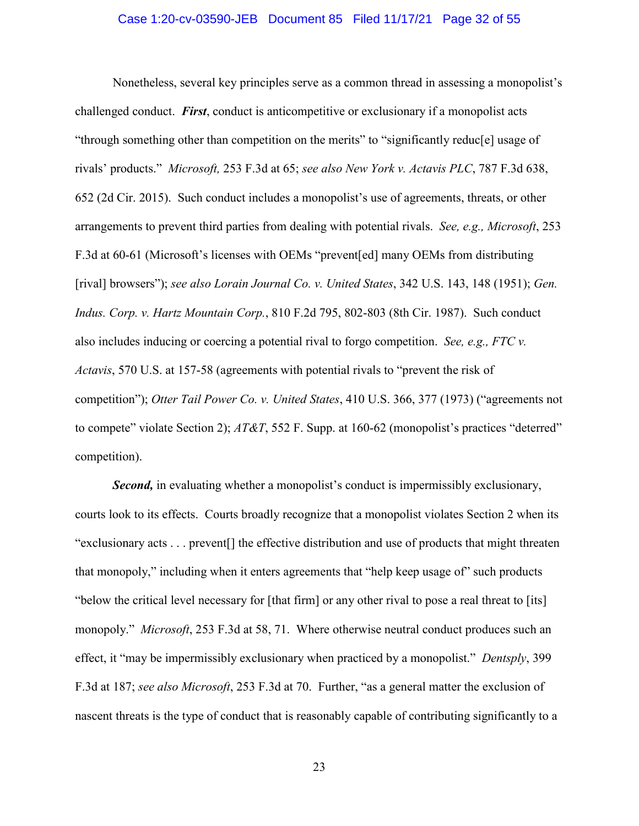#### Case 1:20-cv-03590-JEB Document 85 Filed 11/17/21 Page 32 of 55

<span id="page-31-0"></span> rivals' products." *Microsoft,* 253 F.3d at 65; *see also New York v. Actavis PLC*, 787 F.3d 638, Nonetheless, several key principles serve as a common thread in assessing a monopolist's challenged conduct. *First*, conduct is anticompetitive or exclusionary if a monopolist acts "through something other than competition on the merits" to "significantly reduc[e] usage of 652 (2d Cir. 2015). Such conduct includes a monopolist's use of agreements, threats, or other arrangements to prevent third parties from dealing with potential rivals. *See, e.g., Microsoft*, 253 F.3d at 60-61 (Microsoft's licenses with OEMs "prevent[ed] many OEMs from distributing [rival] browsers"); *see also Lorain Journal Co. v. United States*, 342 U.S. 143, 148 (1951); *Gen. Indus. Corp. v. Hartz Mountain Corp.*, 810 F.2d 795, 802-803 (8th Cir. 1987). Such conduct also includes inducing or coercing a potential rival to forgo competition. *See, e.g., FTC v. Actavis*, 570 U.S. at 157-58 (agreements with potential rivals to "prevent the risk of competition"); *Otter Tail Power Co. v. United States*, 410 U.S. 366, 377 (1973) ("agreements not to compete" violate Section 2); *AT&T*, 552 F. Supp. at 160-62 (monopolist's practices "deterred" competition).

 effect, it "may be impermissibly exclusionary when practiced by a monopolist." *Dentsply*, 399 *Second,* in evaluating whether a monopolist's conduct is impermissibly exclusionary, courts look to its effects. Courts broadly recognize that a monopolist violates Section 2 when its "exclusionary acts . . . prevent[] the effective distribution and use of products that might threaten that monopoly," including when it enters agreements that "help keep usage of" such products "below the critical level necessary for [that firm] or any other rival to pose a real threat to [its] monopoly." *Microsoft*, 253 F.3d at 58, 71. Where otherwise neutral conduct produces such an F.3d at 187; *see also Microsoft*, 253 F.3d at 70. Further, "as a general matter the exclusion of nascent threats is the type of conduct that is reasonably capable of contributing significantly to a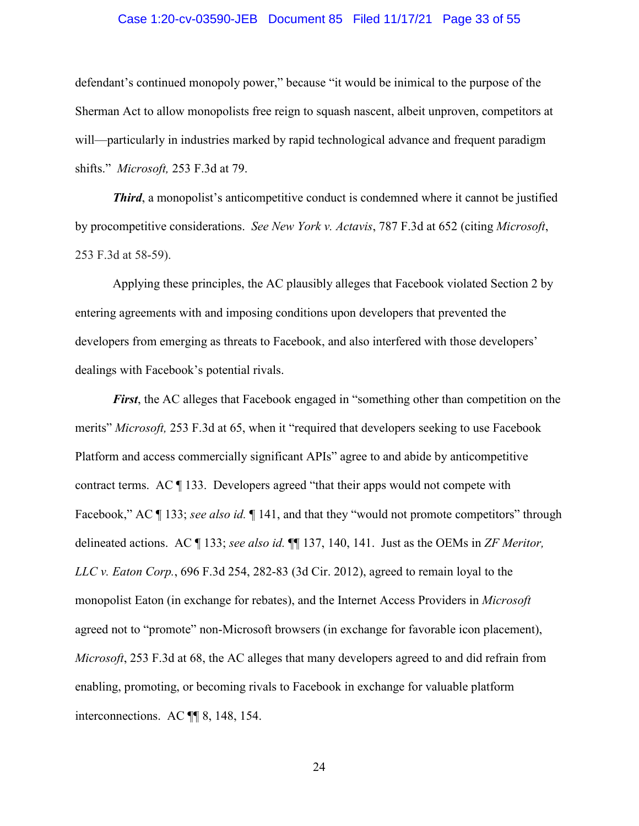#### Case 1:20-cv-03590-JEB Document 85 Filed 11/17/21 Page 33 of 55

<span id="page-32-0"></span>defendant's continued monopoly power," because "it would be inimical to the purpose of the Sherman Act to allow monopolists free reign to squash nascent, albeit unproven, competitors at will—particularly in industries marked by rapid technological advance and frequent paradigm shifts." *Microsoft,* 253 F.3d at 79.

 by procompetitive considerations. *See New York v. Actavis*, 787 F.3d at 652 (citing *Microsoft*, *Third*, a monopolist's anticompetitive conduct is condemned where it cannot be justified 253 F.3d at 58-59).

Applying these principles, the AC plausibly alleges that Facebook violated Section 2 by entering agreements with and imposing conditions upon developers that prevented the developers from emerging as threats to Facebook, and also interfered with those developers' dealings with Facebook's potential rivals.

 Facebook," AC ¶ 133; *see also id.* ¶ 141, and that they "would not promote competitors" through delineated actions. AC ¶ 133; *see also id.* ¶¶ 137, 140, 141. Just as the OEMs in *ZF Meritor, Microsoft*, 253 F.3d at 68, the AC alleges that many developers agreed to and did refrain from interconnections. AC ¶¶ 8, 148, 154. *First*, the AC alleges that Facebook engaged in "something other than competition on the merits" *Microsoft,* 253 F.3d at 65, when it "required that developers seeking to use Facebook Platform and access commercially significant APIs" agree to and abide by anticompetitive contract terms. AC ¶ 133. Developers agreed "that their apps would not compete with *LLC v. Eaton Corp.*, 696 F.3d 254, 282-83 (3d Cir. 2012), agreed to remain loyal to the monopolist Eaton (in exchange for rebates), and the Internet Access Providers in *Microsoft*  agreed not to "promote" non-Microsoft browsers (in exchange for favorable icon placement), enabling, promoting, or becoming rivals to Facebook in exchange for valuable platform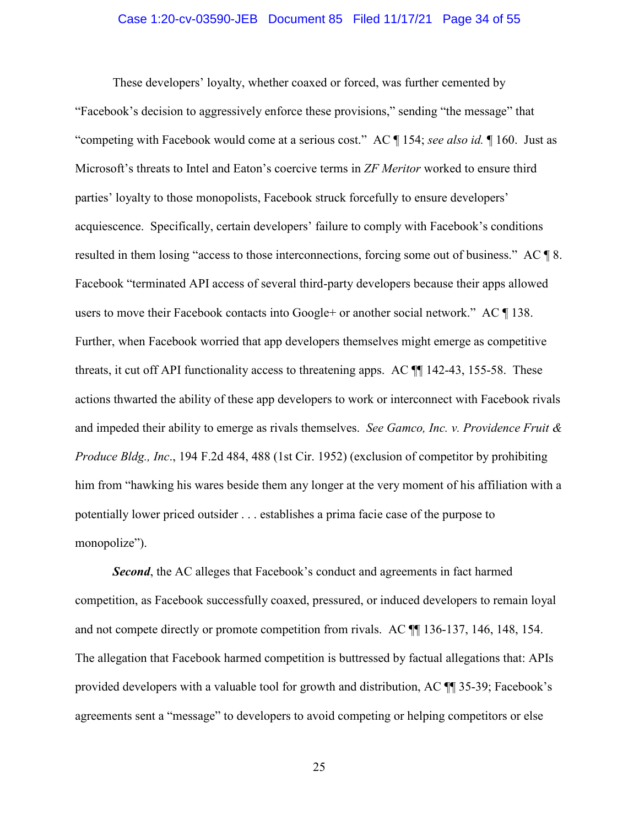#### Case 1:20-cv-03590-JEB Document 85 Filed 11/17/21 Page 34 of 55

<span id="page-33-0"></span> These developers' loyalty, whether coaxed or forced, was further cemented by "competing with Facebook would come at a serious cost." AC ¶ 154; *see also id.* ¶ 160. Just as parties' loyalty to those monopolists, Facebook struck forcefully to ensure developers' threats, it cut off API functionality access to threatening apps. AC ¶¶ 142-43, 155-58. These and impeded their ability to emerge as rivals themselves. *See Gamco, Inc. v. Providence Fruit &*  "Facebook's decision to aggressively enforce these provisions," sending "the message" that Microsoft's threats to Intel and Eaton's coercive terms in *ZF Meritor* worked to ensure third acquiescence. Specifically, certain developers' failure to comply with Facebook's conditions resulted in them losing "access to those interconnections, forcing some out of business." AC  $\P$  8. Facebook "terminated API access of several third-party developers because their apps allowed users to move their Facebook contacts into Google+ or another social network." AC ¶ 138. Further, when Facebook worried that app developers themselves might emerge as competitive actions thwarted the ability of these app developers to work or interconnect with Facebook rivals *Produce Bldg., Inc*., 194 F.2d 484, 488 (1st Cir. 1952) (exclusion of competitor by prohibiting him from "hawking his wares beside them any longer at the very moment of his affiliation with a potentially lower priced outsider . . . establishes a prima facie case of the purpose to monopolize").

**Second**, the AC alleges that Facebook's conduct and agreements in fact harmed competition, as Facebook successfully coaxed, pressured, or induced developers to remain loyal and not compete directly or promote competition from rivals. AC ¶¶ 136-137, 146, 148, 154. The allegation that Facebook harmed competition is buttressed by factual allegations that: APIs provided developers with a valuable tool for growth and distribution, AC ¶¶ 35-39; Facebook's agreements sent a "message" to developers to avoid competing or helping competitors or else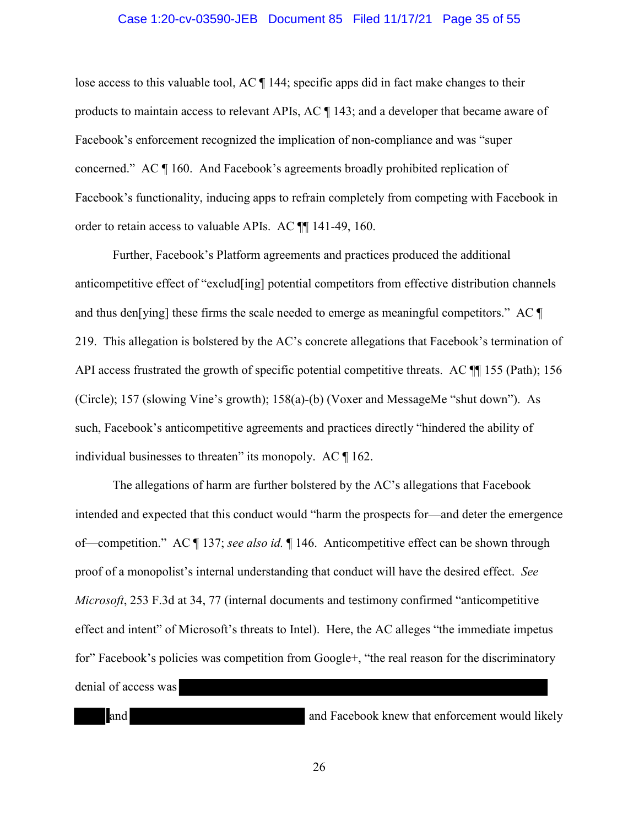#### Case 1:20-cv-03590-JEB Document 85 Filed 11/17/21 Page 35 of 55

<span id="page-34-0"></span> products to maintain access to relevant APIs, AC ¶ 143; and a developer that became aware of lose access to this valuable tool, AC ¶ 144; specific apps did in fact make changes to their Facebook's enforcement recognized the implication of non-compliance and was "super concerned." AC ¶ 160. And Facebook's agreements broadly prohibited replication of Facebook's functionality, inducing apps to refrain completely from competing with Facebook in order to retain access to valuable APIs. AC ¶¶ 141-49, 160.

API access frustrated the growth of specific potential competitive threats. AC  $\P$  155 (Path); 156 Further, Facebook's Platform agreements and practices produced the additional anticompetitive effect of "exclud[ing] potential competitors from effective distribution channels and thus den[ying] these firms the scale needed to emerge as meaningful competitors." AC  $\P$ 219. This allegation is bolstered by the AC's concrete allegations that Facebook's termination of (Circle); 157 (slowing Vine's growth); 158(a)-(b) (Voxer and MessageMe "shut down"). As such, Facebook's anticompetitive agreements and practices directly "hindered the ability of individual businesses to threaten" its monopoly. AC ¶ 162.

 of—competition." AC ¶ 137; *see also id.* ¶ 146. Anticompetitive effect can be shown through The allegations of harm are further bolstered by the AC's allegations that Facebook intended and expected that this conduct would "harm the prospects for—and deter the emergence proof of a monopolist's internal understanding that conduct will have the desired effect. *See Microsoft*, 253 F.3d at 34, 77 (internal documents and testimony confirmed "anticompetitive effect and intent" of Microsoft's threats to Intel). Here, the AC alleges "the immediate impetus for" Facebook's policies was competition from Google+, "the real reason for the discriminatory denial of access was

and and Facebook knew that enforcement would likely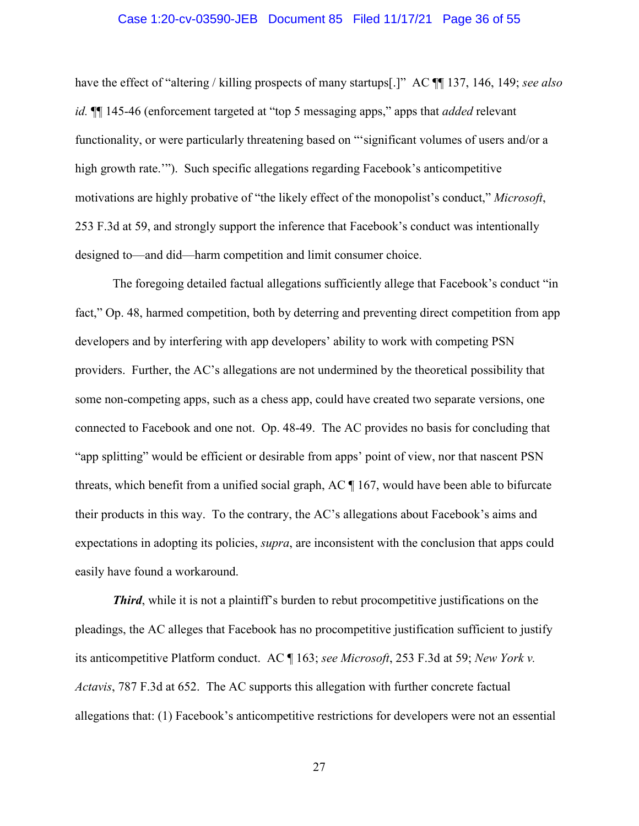#### Case 1:20-cv-03590-JEB Document 85 Filed 11/17/21 Page 36 of 55

<span id="page-35-0"></span> functionality, or were particularly threatening based on "'significant volumes of users and/or a high growth rate.'"). Such specific allegations regarding Facebook's anticompetitive designed to—and did—harm competition and limit consumer choice. have the effect of "altering / killing prospects of many startups[.]" AC ¶¶ 137, 146, 149; *see also id.* ¶¶ 145-46 (enforcement targeted at "top 5 messaging apps," apps that *added* relevant motivations are highly probative of "the likely effect of the monopolist's conduct," *Microsoft*, 253 F.3d at 59, and strongly support the inference that Facebook's conduct was intentionally

The foregoing detailed factual allegations sufficiently allege that Facebook's conduct "in fact," Op. 48, harmed competition, both by deterring and preventing direct competition from app developers and by interfering with app developers' ability to work with competing PSN providers. Further, the AC's allegations are not undermined by the theoretical possibility that some non-competing apps, such as a chess app, could have created two separate versions, one connected to Facebook and one not. Op. 48-49. The AC provides no basis for concluding that "app splitting" would be efficient or desirable from apps' point of view, nor that nascent PSN threats, which benefit from a unified social graph, AC ¶ 167, would have been able to bifurcate their products in this way. To the contrary, the AC's allegations about Facebook's aims and expectations in adopting its policies, *supra*, are inconsistent with the conclusion that apps could easily have found a workaround.

 its anticompetitive Platform conduct. AC ¶ 163; *see Microsoft*, 253 F.3d at 59; *New York v. Third*, while it is not a plaintiff's burden to rebut procompetitive justifications on the pleadings, the AC alleges that Facebook has no procompetitive justification sufficient to justify *Actavis*, 787 F.3d at 652. The AC supports this allegation with further concrete factual allegations that: (1) Facebook's anticompetitive restrictions for developers were not an essential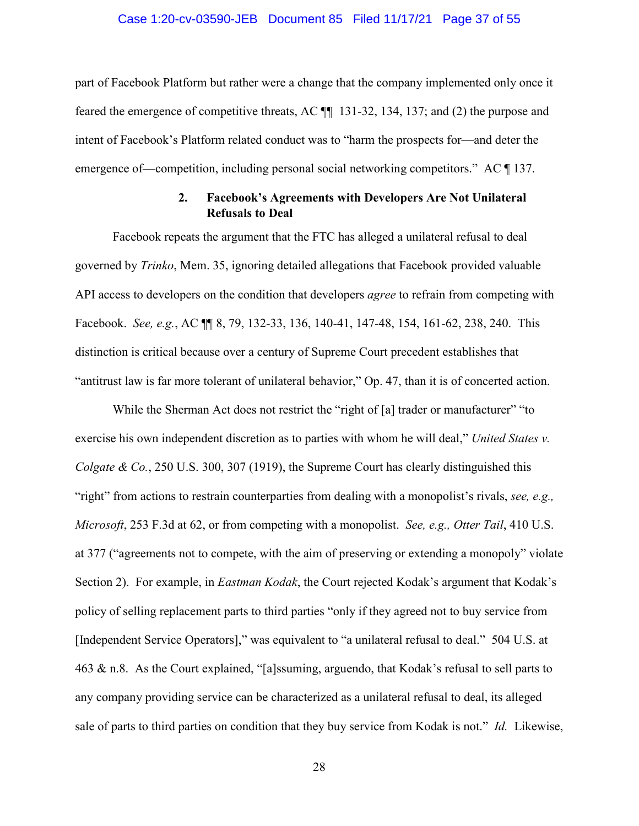#### Case 1:20-cv-03590-JEB Document 85 Filed 11/17/21 Page 37 of 55

<span id="page-36-0"></span>emergence of—competition, including personal social networking competitors." AC ¶ 137. part of Facebook Platform but rather were a change that the company implemented only once it feared the emergence of competitive threats, AC ¶¶ 131-32, 134, 137; and (2) the purpose and intent of Facebook's Platform related conduct was to "harm the prospects for—and deter the

# **2. Facebook's Agreements with Developers Are Not Unilateral Refusals to Deal**

 API access to developers on the condition that developers *agree* to refrain from competing with Facebook repeats the argument that the FTC has alleged a unilateral refusal to deal governed by *Trinko*, Mem. 35, ignoring detailed allegations that Facebook provided valuable Facebook. *See, e.g.*, AC ¶¶ 8, 79, 132-33, 136, 140-41, 147-48, 154, 161-62, 238, 240. This distinction is critical because over a century of Supreme Court precedent establishes that "antitrust law is far more tolerant of unilateral behavior," Op. 47, than it is of concerted action.

 [Independent Service Operators]," was equivalent to "a unilateral refusal to deal." 504 U.S. at sale of parts to third parties on condition that they buy service from Kodak is not." *Id.* Likewise, While the Sherman Act does not restrict the "right of [a] trader or manufacturer" "to exercise his own independent discretion as to parties with whom he will deal," *United States v. Colgate & Co.*, 250 U.S. 300, 307 (1919), the Supreme Court has clearly distinguished this "right" from actions to restrain counterparties from dealing with a monopolist's rivals, *see, e.g., Microsoft*, 253 F.3d at 62, or from competing with a monopolist. *See, e.g., Otter Tail*, 410 U.S. at 377 ("agreements not to compete, with the aim of preserving or extending a monopoly" violate Section 2). For example, in *Eastman Kodak*, the Court rejected Kodak's argument that Kodak's policy of selling replacement parts to third parties "only if they agreed not to buy service from 463 & n.8. As the Court explained, "[a]ssuming, arguendo, that Kodak's refusal to sell parts to any company providing service can be characterized as a unilateral refusal to deal, its alleged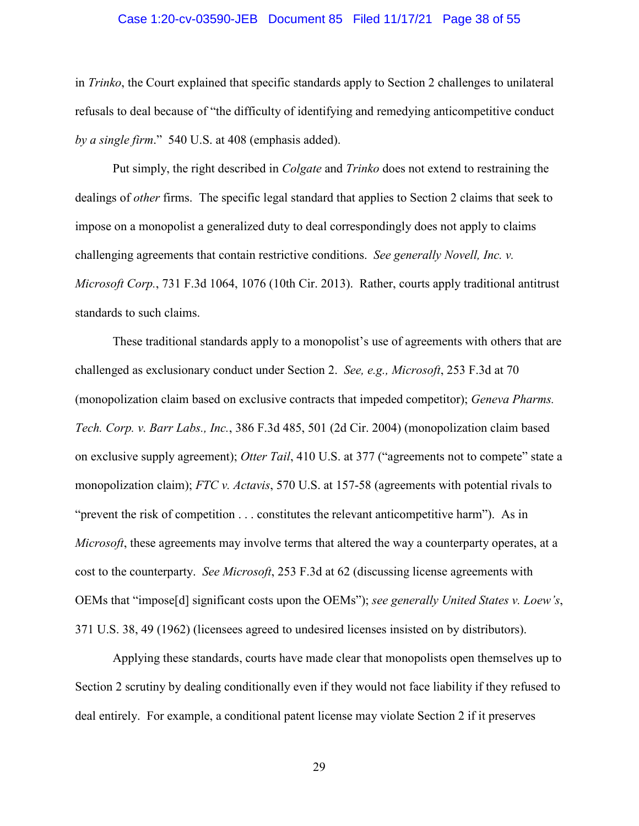#### Case 1:20-cv-03590-JEB Document 85 Filed 11/17/21 Page 38 of 55

<span id="page-37-0"></span> in *Trinko*, the Court explained that specific standards apply to Section 2 challenges to unilateral refusals to deal because of "the difficulty of identifying and remedying anticompetitive conduct *by a single firm*." 540 U.S. at 408 (emphasis added).

 Put simply, the right described in *Colgate* and *Trinko* does not extend to restraining the dealings of *other* firms. The specific legal standard that applies to Section 2 claims that seek to challenging agreements that contain restrictive conditions. *See generally Novell, Inc. v.*  standards to such claims. impose on a monopolist a generalized duty to deal correspondingly does not apply to claims *Microsoft Corp.*, 731 F.3d 1064, 1076 (10th Cir. 2013). Rather, courts apply traditional antitrust

 on exclusive supply agreement); *Otter Tail*, 410 U.S. at 377 ("agreements not to compete" state a "prevent the risk of competition . . . constitutes the relevant anticompetitive harm"). As in cost to the counterparty. *See Microsoft*, 253 F.3d at 62 (discussing license agreements with  OEMs that "impose[d] significant costs upon the OEMs"); *see generally United States v. Loew's*, These traditional standards apply to a monopolist's use of agreements with others that are challenged as exclusionary conduct under Section 2. *See, e.g., Microsoft*, 253 F.3d at 70 (monopolization claim based on exclusive contracts that impeded competitor); *Geneva Pharms. Tech. Corp. v. Barr Labs., Inc.*, 386 F.3d 485, 501 (2d Cir. 2004) (monopolization claim based monopolization claim); *FTC v. Actavis*, 570 U.S. at 157-58 (agreements with potential rivals to *Microsoft*, these agreements may involve terms that altered the way a counterparty operates, at a 371 U.S. 38, 49 (1962) (licensees agreed to undesired licenses insisted on by distributors).

 deal entirely. For example, a conditional patent license may violate Section 2 if it preserves Applying these standards, courts have made clear that monopolists open themselves up to Section 2 scrutiny by dealing conditionally even if they would not face liability if they refused to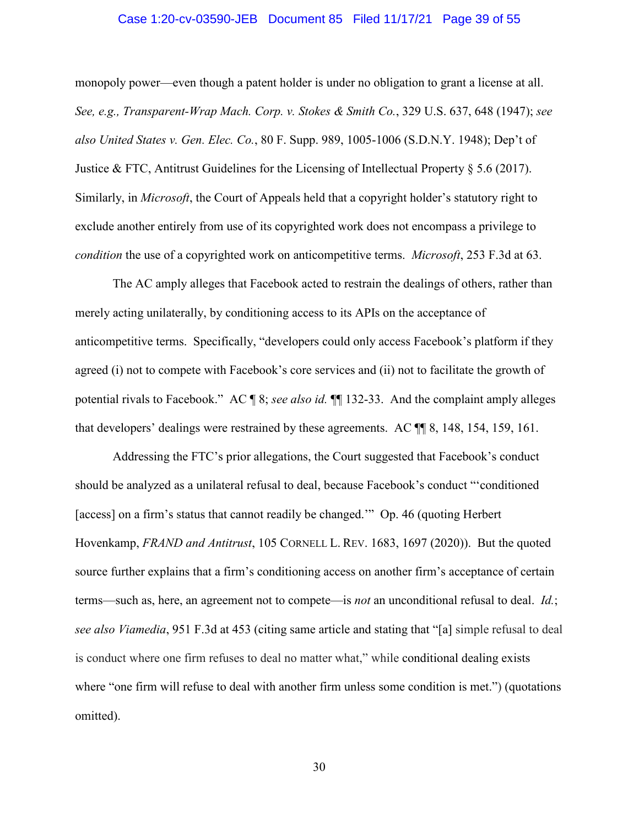#### Case 1:20-cv-03590-JEB Document 85 Filed 11/17/21 Page 39 of 55

<span id="page-38-0"></span> *condition* the use of a copyrighted work on anticompetitive terms. *Microsoft*, 253 F.3d at 63. monopoly power—even though a patent holder is under no obligation to grant a license at all. *See, e.g., Transparent-Wrap Mach. Corp. v. Stokes & Smith Co.*, 329 U.S. 637, 648 (1947); *see also United States v. Gen. Elec. Co.*, 80 F. Supp. 989, 1005-1006 (S.D.N.Y. 1948); Dep't of Justice & FTC, Antitrust Guidelines for the Licensing of Intellectual Property § 5.6 (2017). Similarly, in *Microsoft*, the Court of Appeals held that a copyright holder's statutory right to exclude another entirely from use of its copyrighted work does not encompass a privilege to

The AC amply alleges that Facebook acted to restrain the dealings of others, rather than merely acting unilaterally, by conditioning access to its APIs on the acceptance of anticompetitive terms. Specifically, "developers could only access Facebook's platform if they agreed (i) not to compete with Facebook's core services and (ii) not to facilitate the growth of potential rivals to Facebook." AC ¶ 8; *see also id.* ¶¶ 132-33. And the complaint amply alleges that developers' dealings were restrained by these agreements. AC ¶¶ 8, 148, 154, 159, 161.

Addressing the FTC's prior allegations, the Court suggested that Facebook's conduct should be analyzed as a unilateral refusal to deal, because Facebook's conduct "'conditioned [access] on a firm's status that cannot readily be changed." Op. 46 (quoting Herbert Hovenkamp, *FRAND and Antitrust*, 105 CORNELL L. REV. 1683, 1697 (2020)). But the quoted source further explains that a firm's conditioning access on another firm's acceptance of certain terms—such as, here, an agreement not to compete—is *not* an unconditional refusal to deal. *Id.*; *see also Viamedia*, 951 F.3d at 453 (citing same article and stating that "[a] simple refusal to deal is conduct where one firm refuses to deal no matter what," while conditional dealing exists where "one firm will refuse to deal with another firm unless some condition is met.") (quotations omitted).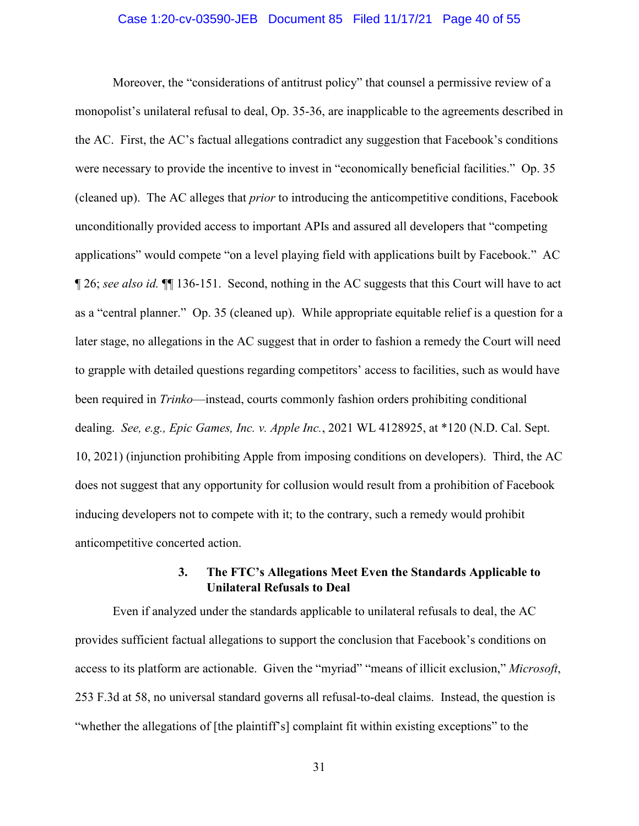#### Case 1:20-cv-03590-JEB Document 85 Filed 11/17/21 Page 40 of 55

<span id="page-39-0"></span> applications" would compete "on a level playing field with applications built by Facebook." AC ¶ 26; *see also id.* ¶¶ 136-151. Second, nothing in the AC suggests that this Court will have to act anticompetitive concerted action. Moreover, the "considerations of antitrust policy" that counsel a permissive review of a monopolist's unilateral refusal to deal, Op. 35-36, are inapplicable to the agreements described in the AC. First, the AC's factual allegations contradict any suggestion that Facebook's conditions were necessary to provide the incentive to invest in "economically beneficial facilities." Op. 35 (cleaned up). The AC alleges that *prior* to introducing the anticompetitive conditions, Facebook unconditionally provided access to important APIs and assured all developers that "competing as a "central planner." Op. 35 (cleaned up). While appropriate equitable relief is a question for a later stage, no allegations in the AC suggest that in order to fashion a remedy the Court will need to grapple with detailed questions regarding competitors' access to facilities, such as would have been required in *Trinko*—instead, courts commonly fashion orders prohibiting conditional dealing. *See, e.g., Epic Games, Inc. v. Apple Inc.*, 2021 WL 4128925, at \*120 (N.D. Cal. Sept. 10, 2021) (injunction prohibiting Apple from imposing conditions on developers). Third, the AC does not suggest that any opportunity for collusion would result from a prohibition of Facebook inducing developers not to compete with it; to the contrary, such a remedy would prohibit

# **Unilateral Refusals to Deal 3. The FTC's Allegations Meet Even the Standards Applicable to**

 253 F.3d at 58, no universal standard governs all refusal-to-deal claims. Instead, the question is Even if analyzed under the standards applicable to unilateral refusals to deal, the AC provides sufficient factual allegations to support the conclusion that Facebook's conditions on access to its platform are actionable. Given the "myriad" "means of illicit exclusion," *Microsoft*, "whether the allegations of [the plaintiff's] complaint fit within existing exceptions" to the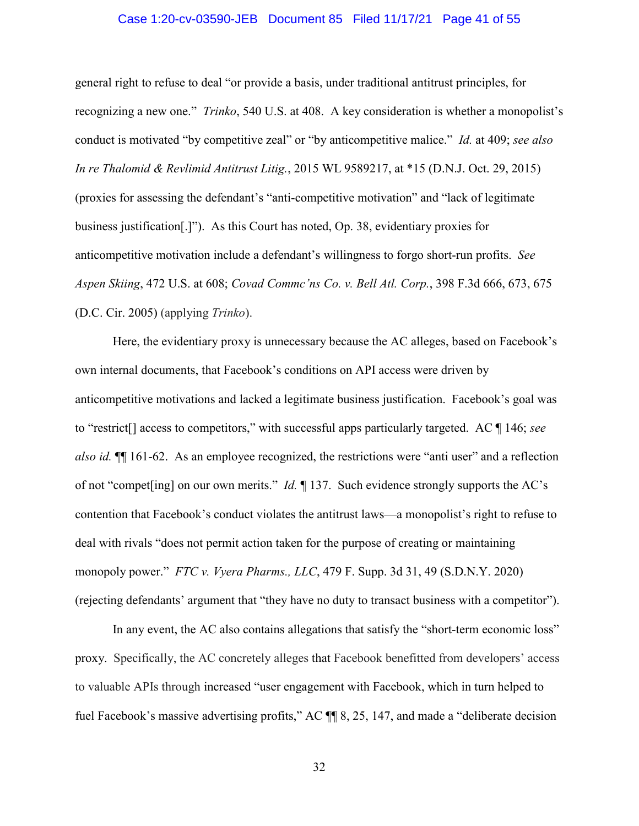#### Case 1:20-cv-03590-JEB Document 85 Filed 11/17/21 Page 41 of 55

<span id="page-40-0"></span> conduct is motivated "by competitive zeal" or "by anticompetitive malice." *Id.* at 409; *see also Aspen Skiing*, 472 U.S. at 608; *Covad Commc'ns Co. v. Bell Atl. Corp.*, 398 F.3d 666, 673, 675 (D.C. Cir. 2005) (applying *Trinko*). general right to refuse to deal "or provide a basis, under traditional antitrust principles, for recognizing a new one." *Trinko*, 540 U.S. at 408. A key consideration is whether a monopolist's *In re Thalomid & Revlimid Antitrust Litig.*, 2015 WL 9589217, at \*15 (D.N.J. Oct. 29, 2015) (proxies for assessing the defendant's "anti-competitive motivation" and "lack of legitimate business justification[.]"). As this Court has noted, Op. 38, evidentiary proxies for anticompetitive motivation include a defendant's willingness to forgo short-run profits. *See* 

 anticompetitive motivations and lacked a legitimate business justification. Facebook's goal was to "restrict[] access to competitors," with successful apps particularly targeted. AC ¶ 146; *see also id.* ¶¶ 161-62. As an employee recognized, the restrictions were "anti user" and a reflection of not "compet[ing] on our own merits." *Id.* ¶ 137. Such evidence strongly supports the AC's deal with rivals "does not permit action taken for the purpose of creating or maintaining monopoly power." *FTC v. Vyera Pharms., LLC*, 479 F. Supp. 3d 31, 49 (S.D.N.Y. 2020) Here, the evidentiary proxy is unnecessary because the AC alleges, based on Facebook's own internal documents, that Facebook's conditions on API access were driven by contention that Facebook's conduct violates the antitrust laws—a monopolist's right to refuse to (rejecting defendants' argument that "they have no duty to transact business with a competitor").

 proxy. Specifically, the AC concretely alleges that Facebook benefitted from developers' access In any event, the AC also contains allegations that satisfy the "short-term economic loss" to valuable APIs through increased "user engagement with Facebook, which in turn helped to fuel Facebook's massive advertising profits," AC  $\P$  8, 25, 147, and made a "deliberate decision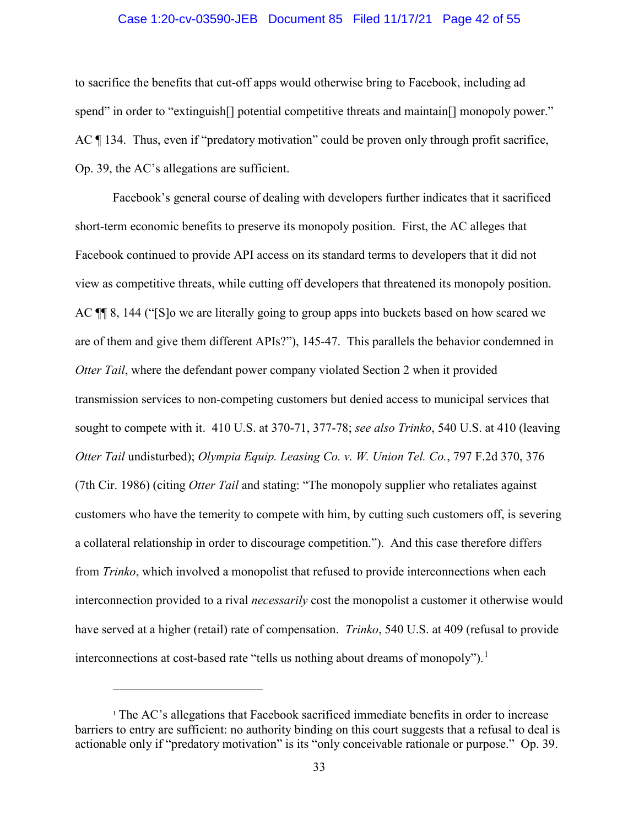#### Case 1:20-cv-03590-JEB Document 85 Filed 11/17/21 Page 42 of 55

<span id="page-41-0"></span>spend" in order to "extinguish<sup>[]</sup> potential competitive threats and maintain<sup>[]</sup> monopoly power." to sacrifice the benefits that cut-off apps would otherwise bring to Facebook, including ad  $\text{AC} \P 134$ . Thus, even if "predatory motivation" could be proven only through profit sacrifice, Op. 39, the AC's allegations are sufficient.

interconnections at cost-based rate "tells us nothing about dreams of monopoly").<sup>1</sup> Facebook's general course of dealing with developers further indicates that it sacrificed short-term economic benefits to preserve its monopoly position. First, the AC alleges that Facebook continued to provide API access on its standard terms to developers that it did not view as competitive threats, while cutting off developers that threatened its monopoly position. AC ¶¶ 8, 144 ("[S]o we are literally going to group apps into buckets based on how scared we are of them and give them different APIs?"), 145-47. This parallels the behavior condemned in *Otter Tail*, where the defendant power company violated Section 2 when it provided transmission services to non-competing customers but denied access to municipal services that sought to compete with it. 410 U.S. at 370-71, 377-78; *see also Trinko*, 540 U.S. at 410 (leaving *Otter Tail* undisturbed); *Olympia Equip. Leasing Co. v. W. Union Tel. Co.*, 797 F.2d 370, 376 (7th Cir. 1986) (citing *Otter Tail* and stating: "The monopoly supplier who retaliates against customers who have the temerity to compete with him, by cutting such customers off, is severing a collateral relationship in order to discourage competition."). And this case therefore differs from *Trinko*, which involved a monopolist that refused to provide interconnections when each interconnection provided to a rival *necessarily* cost the monopolist a customer it otherwise would have served at a higher (retail) rate of compensation. *Trinko*, 540 U.S. at 409 (refusal to provide

-

 actionable only if "predatory motivation" is its "only conceivable rationale or purpose." Op. 39. <sup>1</sup> The AC's allegations that Facebook sacrificed immediate benefits in order to increase barriers to entry are sufficient: no authority binding on this court suggests that a refusal to deal is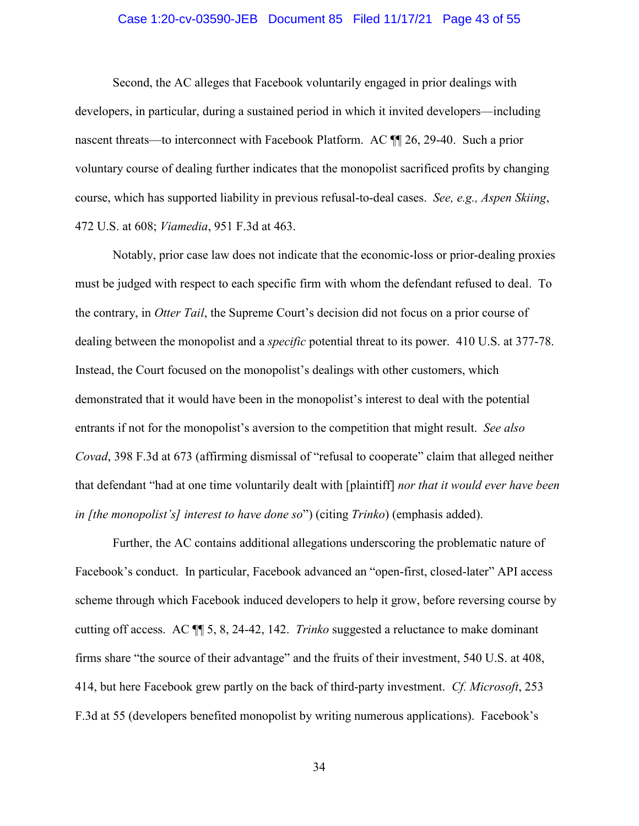#### Case 1:20-cv-03590-JEB Document 85 Filed 11/17/21 Page 43 of 55

<span id="page-42-0"></span> voluntary course of dealing further indicates that the monopolist sacrificed profits by changing course, which has supported liability in previous refusal-to-deal cases. *See, e.g., Aspen Skiing*, Second, the AC alleges that Facebook voluntarily engaged in prior dealings with developers, in particular, during a sustained period in which it invited developers—including nascent threats—to interconnect with Facebook Platform. AC ¶¶ 26, 29-40. Such a prior 472 U.S. at 608; *Viamedia*, 951 F.3d at 463.

 must be judged with respect to each specific firm with whom the defendant refused to deal. To Notably, prior case law does not indicate that the economic-loss or prior-dealing proxies the contrary, in *Otter Tail*, the Supreme Court's decision did not focus on a prior course of dealing between the monopolist and a *specific* potential threat to its power. 410 U.S. at 377-78. Instead, the Court focused on the monopolist's dealings with other customers, which demonstrated that it would have been in the monopolist's interest to deal with the potential entrants if not for the monopolist's aversion to the competition that might result. *See also Covad*, 398 F.3d at 673 (affirming dismissal of "refusal to cooperate" claim that alleged neither that defendant "had at one time voluntarily dealt with [plaintiff] *nor that it would ever have been in [the monopolist's] interest to have done so*") (citing *Trinko*) (emphasis added).

 scheme through which Facebook induced developers to help it grow, before reversing course by Further, the AC contains additional allegations underscoring the problematic nature of Facebook's conduct. In particular, Facebook advanced an "open-first, closed-later" API access cutting off access. AC ¶¶ 5, 8, 24-42, 142. *Trinko* suggested a reluctance to make dominant firms share "the source of their advantage" and the fruits of their investment, 540 U.S. at 408, 414, but here Facebook grew partly on the back of third-party investment. *Cf. Microsoft*, 253 F.3d at 55 (developers benefited monopolist by writing numerous applications). Facebook's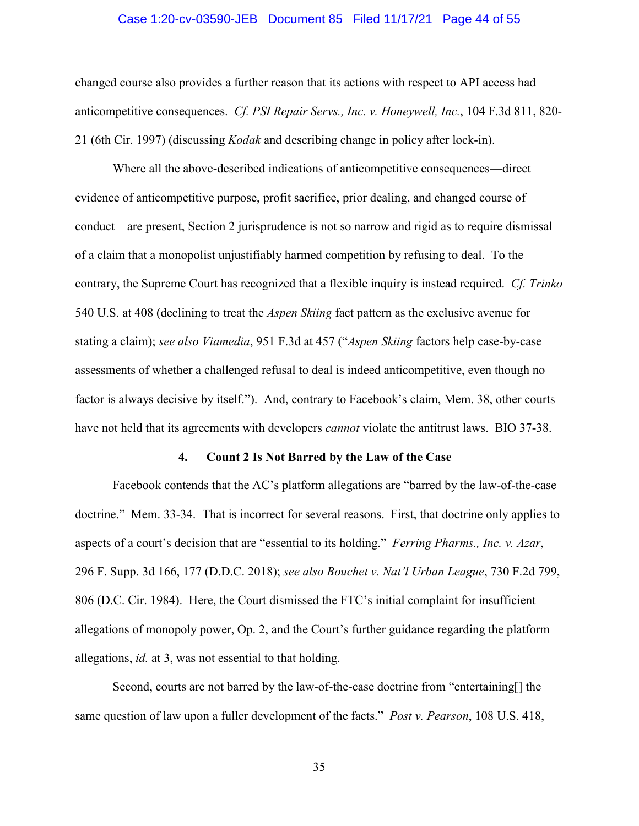#### Case 1:20-cv-03590-JEB Document 85 Filed 11/17/21 Page 44 of 55

 changed course also provides a further reason that its actions with respect to API access had 21 (6th Cir. 1997) (discussing *Kodak* and describing change in policy after lock-in). anticompetitive consequences. *Cf. PSI Repair Servs., Inc. v. Honeywell, Inc.*, 104 F.3d 811, 820-

 factor is always decisive by itself."). And, contrary to Facebook's claim, Mem. 38, other courts have not held that its agreements with developers *cannot* violate the antitrust laws. BIO 37-38. Where all the above-described indications of anticompetitive consequences—direct evidence of anticompetitive purpose, profit sacrifice, prior dealing, and changed course of conduct—are present, Section 2 jurisprudence is not so narrow and rigid as to require dismissal of a claim that a monopolist unjustifiably harmed competition by refusing to deal. To the contrary, the Supreme Court has recognized that a flexible inquiry is instead required. *Cf. Trinko*  540 U.S. at 408 (declining to treat the *Aspen Skiing* fact pattern as the exclusive avenue for stating a claim); *see also Viamedia*, 951 F.3d at 457 ("*Aspen Skiing* factors help case-by-case assessments of whether a challenged refusal to deal is indeed anticompetitive, even though no

#### **4. Count 2 Is Not Barred by the Law of the Case**

 aspects of a court's decision that are "essential to its holding." *Ferring Pharms., Inc. v. Azar*, 296 F. Supp. 3d 166, 177 (D.D.C. 2018); *see also Bouchet v. Nat'l Urban League*, 730 F.2d 799, allegations of monopoly power, Op. 2, and the Court's further guidance regarding the platform allegations, *id.* at 3, was not essential to that holding. Facebook contends that the AC's platform allegations are "barred by the law-of-the-case doctrine." Mem. 33-34. That is incorrect for several reasons. First, that doctrine only applies to 806 (D.C. Cir. 1984). Here, the Court dismissed the FTC's initial complaint for insufficient

 same question of law upon a fuller development of the facts." *Post v. Pearson*, 108 U.S. 418, Second, courts are not barred by the law-of-the-case doctrine from "entertaining[] the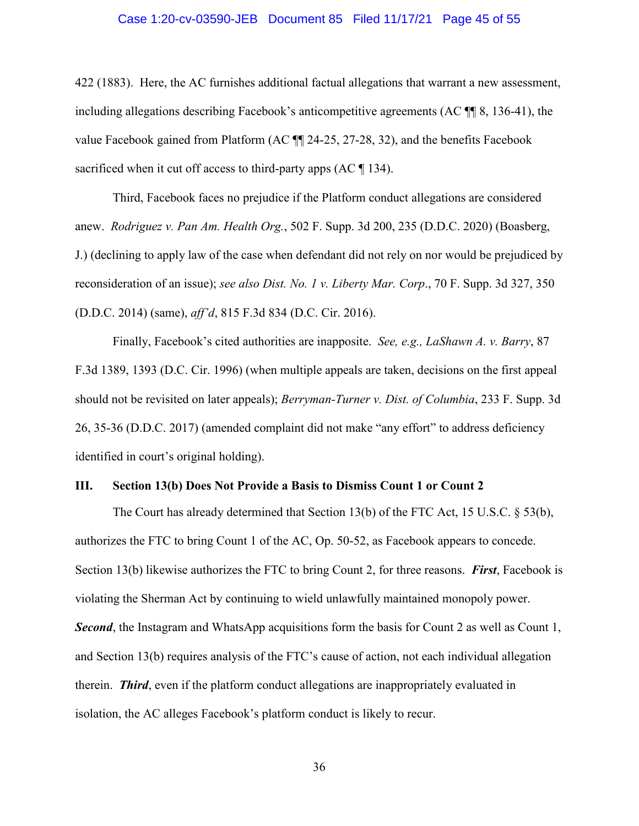#### Case 1:20-cv-03590-JEB Document 85 Filed 11/17/21 Page 45 of 55

<span id="page-44-0"></span> 422 (1883). Here, the AC furnishes additional factual allegations that warrant a new assessment, including allegations describing Facebook's anticompetitive agreements (AC ¶¶ 8, 136-41), the sacrificed when it cut off access to third-party apps  $(AC \parallel 134)$ . value Facebook gained from Platform (AC ¶¶ 24-25, 27-28, 32), and the benefits Facebook

 anew. *Rodriguez v. Pan Am. Health Org.*, 502 F. Supp. 3d 200, 235 (D.D.C. 2020) (Boasberg, Third, Facebook faces no prejudice if the Platform conduct allegations are considered J.) (declining to apply law of the case when defendant did not rely on nor would be prejudiced by reconsideration of an issue); *see also Dist. No. 1 v. Liberty Mar. Corp*., 70 F. Supp. 3d 327, 350 (D.D.C. 2014) (same), *aff'd*, 815 F.3d 834 (D.C. Cir. 2016).

 Finally, Facebook's cited authorities are inapposite. *See, e.g., LaShawn A. v. Barry*, 87 F.3d 1389, 1393 (D.C. Cir. 1996) (when multiple appeals are taken, decisions on the first appeal should not be revisited on later appeals); *Berryman-Turner v. Dist. of Columbia*, 233 F. Supp. 3d 26, 35-36 (D.D.C. 2017) (amended complaint did not make "any effort" to address deficiency identified in court's original holding).

#### **III. Section 13(b) Does Not Provide a Basis to Dismiss Count 1 or Count 2**

authorizes the FTC to bring Count 1 of the AC, Op. 50-52, as Facebook appears to concede. authorizes the FTC to bring Count 1 of the AC, Op. 50-52, as Facebook appears to concede.<br>Section 13(b) likewise authorizes the FTC to bring Count 2, for three reasons. *First*, Facebook is The Court has already determined that Section 13(b) of the FTC Act, 15 U.S.C. § 53(b), violating the Sherman Act by continuing to wield unlawfully maintained monopoly power. **Second**, the Instagram and WhatsApp acquisitions form the basis for Count 2 as well as Count 1, and Section 13(b) requires analysis of the FTC's cause of action, not each individual allegation therein. *Third*, even if the platform conduct allegations are inappropriately evaluated in isolation, the AC alleges Facebook's platform conduct is likely to recur.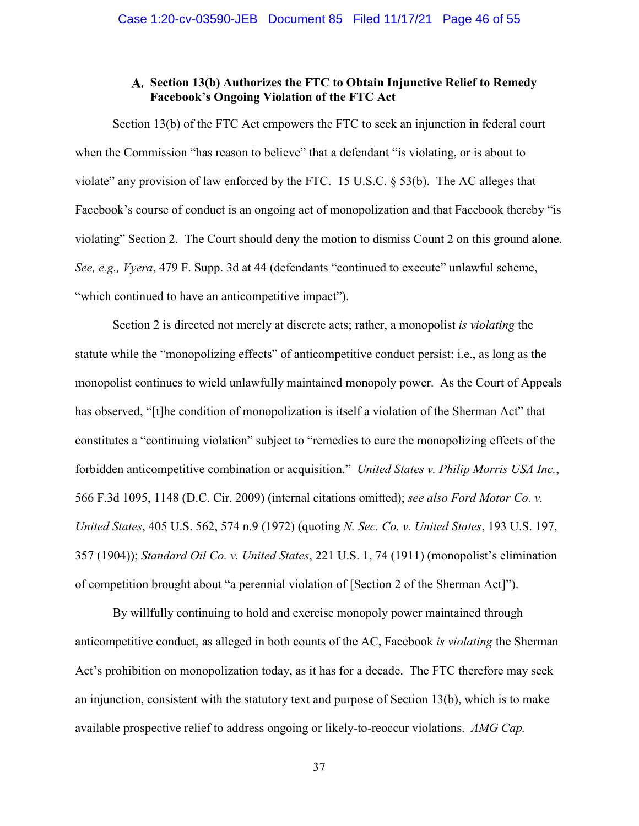# **Facebook's Ongoing Violation of the FTC Act Section 13(b) Authorizes the FTC to Obtain Injunctive Relief to Remedy**

<span id="page-45-0"></span> Facebook's course of conduct is an ongoing act of monopolization and that Facebook thereby "is Section 13(b) of the FTC Act empowers the FTC to seek an injunction in federal court when the Commission "has reason to believe" that a defendant "is violating, or is about to violate" any provision of law enforced by the FTC. 15 U.S.C. § 53(b). The AC alleges that violating" Section 2. The Court should deny the motion to dismiss Count 2 on this ground alone. *See, e.g., Vyera*, 479 F. Supp. 3d at 44 (defendants "continued to execute" unlawful scheme, "which continued to have an anticompetitive impact").

 forbidden anticompetitive combination or acquisition." *United States v. Philip Morris USA Inc.*, of competition brought about "a perennial violation of [Section 2 of the Sherman Act]"). Section 2 is directed not merely at discrete acts; rather, a monopolist *is violating* the statute while the "monopolizing effects" of anticompetitive conduct persist: i.e., as long as the monopolist continues to wield unlawfully maintained monopoly power. As the Court of Appeals has observed, "[t]he condition of monopolization is itself a violation of the Sherman Act" that constitutes a "continuing violation" subject to "remedies to cure the monopolizing effects of the 566 F.3d 1095, 1148 (D.C. Cir. 2009) (internal citations omitted); *see also Ford Motor Co. v. United States*, 405 U.S. 562, 574 n.9 (1972) (quoting *N. Sec. Co. v. United States*, 193 U.S. 197, 357 (1904)); *Standard Oil Co. v. United States*, 221 U.S. 1, 74 (1911) (monopolist's elimination

By willfully continuing to hold and exercise monopoly power maintained through anticompetitive conduct, as alleged in both counts of the AC, Facebook *is violating* the Sherman Act's prohibition on monopolization today, as it has for a decade. The FTC therefore may seek an injunction, consistent with the statutory text and purpose of Section 13(b), which is to make available prospective relief to address ongoing or likely-to-reoccur violations. *AMG Cap.*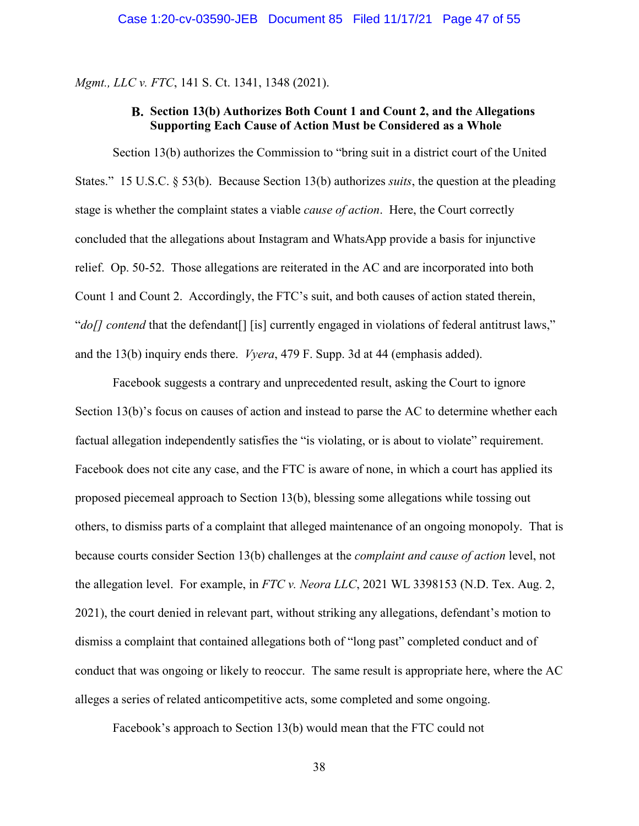<span id="page-46-0"></span>*Mgmt., LLC v. FTC*, 141 S. Ct. 1341, 1348 (2021).

# **Supporting Each Cause of Action Must be Considered as a Whole Section 13(b) Authorizes Both Count 1 and Count 2, and the Allegations**

 relief. Op. 50-52. Those allegations are reiterated in the AC and are incorporated into both and the 13(b) inquiry ends there. *Vyera*, 479 F. Supp. 3d at 44 (emphasis added). Section 13(b) authorizes the Commission to "bring suit in a district court of the United States." 15 U.S.C. § 53(b). Because Section 13(b) authorizes *suits*, the question at the pleading stage is whether the complaint states a viable *cause of action*. Here, the Court correctly concluded that the allegations about Instagram and WhatsApp provide a basis for injunctive Count 1 and Count 2. Accordingly, the FTC's suit, and both causes of action stated therein, "*do[] contend* that the defendant<sup>[]</sup> [is] currently engaged in violations of federal antitrust laws,"

 the allegation level. For example, in *FTC v. Neora LLC*, 2021 WL 3398153 (N.D. Tex. Aug. 2, alleges a series of related anticompetitive acts, some completed and some ongoing. Facebook's approach to Section 13(b) would mean that the FTC could not Facebook suggests a contrary and unprecedented result, asking the Court to ignore Section 13(b)'s focus on causes of action and instead to parse the AC to determine whether each factual allegation independently satisfies the "is violating, or is about to violate" requirement. Facebook does not cite any case, and the FTC is aware of none, in which a court has applied its proposed piecemeal approach to Section 13(b), blessing some allegations while tossing out others, to dismiss parts of a complaint that alleged maintenance of an ongoing monopoly. That is because courts consider Section 13(b) challenges at the *complaint and cause of action* level, not 2021), the court denied in relevant part, without striking any allegations, defendant's motion to dismiss a complaint that contained allegations both of "long past" completed conduct and of conduct that was ongoing or likely to reoccur. The same result is appropriate here, where the AC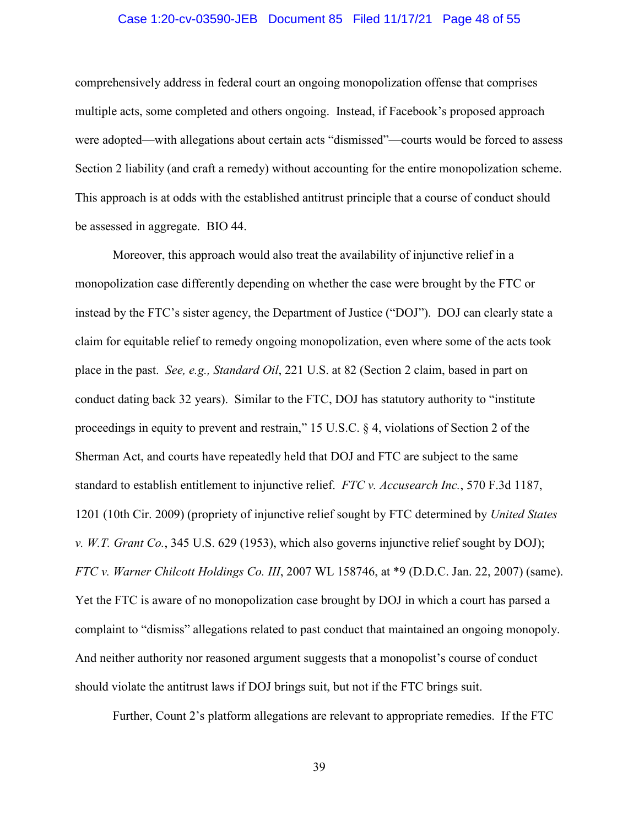#### Case 1:20-cv-03590-JEB Document 85 Filed 11/17/21 Page 48 of 55

<span id="page-47-0"></span> multiple acts, some completed and others ongoing. Instead, if Facebook's proposed approach comprehensively address in federal court an ongoing monopolization offense that comprises were adopted—with allegations about certain acts "dismissed"—courts would be forced to assess Section 2 liability (and craft a remedy) without accounting for the entire monopolization scheme. This approach is at odds with the established antitrust principle that a course of conduct should be assessed in aggregate. BIO 44.

 claim for equitable relief to remedy ongoing monopolization, even where some of the acts took place in the past. *See, e.g., Standard Oil*, 221 U.S. at 82 (Section 2 claim, based in part on standard to establish entitlement to injunctive relief. *FTC v. Accusearch Inc.*, 570 F.3d 1187, FTC v. Warner Chilcott Holdings Co. III, 2007 WL 158746, at \*9 (D.D.C. Jan. 22, 2007) (same). Moreover, this approach would also treat the availability of injunctive relief in a monopolization case differently depending on whether the case were brought by the FTC or instead by the FTC's sister agency, the Department of Justice ("DOJ"). DOJ can clearly state a conduct dating back 32 years). Similar to the FTC, DOJ has statutory authority to "institute proceedings in equity to prevent and restrain," 15 U.S.C. § 4, violations of Section 2 of the Sherman Act, and courts have repeatedly held that DOJ and FTC are subject to the same 1201 (10th Cir. 2009) (propriety of injunctive relief sought by FTC determined by *United States v. W.T. Grant Co.*, 345 U.S. 629 (1953), which also governs injunctive relief sought by DOJ); *FTC v. Warner Chilcott Holdings Co. III*, 2007 WL 158746, at \*9 (D.D.C. Jan. 22, 2007) (same). Yet the FTC is aware of no monopolization case brought by DOJ in which a court has parsed a complaint to "dismiss" allegations related to past conduct that maintained an ongoing monopoly. And neither authority nor reasoned argument suggests that a monopolist's course of conduct should violate the antitrust laws if DOJ brings suit, but not if the FTC brings suit.

Further, Count 2's platform allegations are relevant to appropriate remedies. If the FTC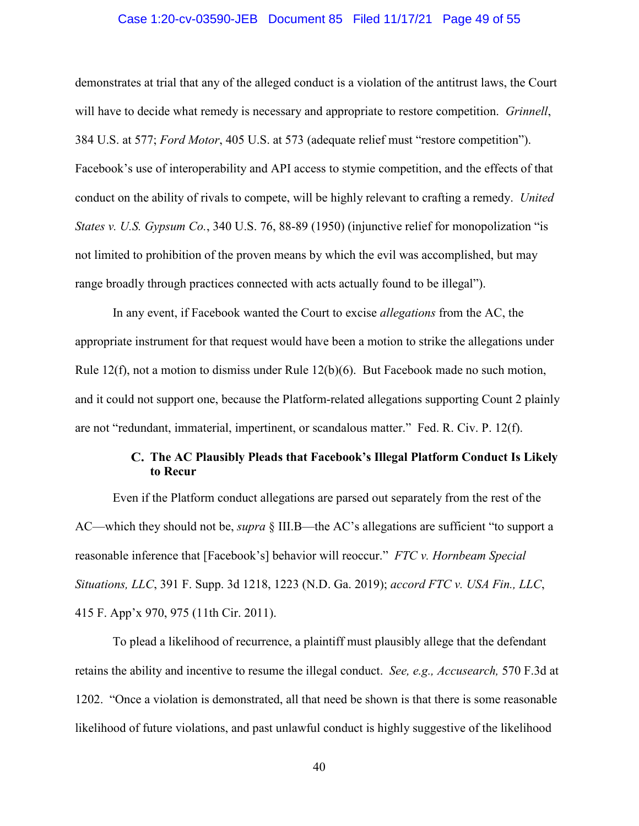#### Case 1:20-cv-03590-JEB Document 85 Filed 11/17/21 Page 49 of 55

<span id="page-48-0"></span> will have to decide what remedy is necessary and appropriate to restore competition. *Grinnell*, conduct on the ability of rivals to compete, will be highly relevant to crafting a remedy. *United*  demonstrates at trial that any of the alleged conduct is a violation of the antitrust laws, the Court 384 U.S. at 577; *Ford Motor*, 405 U.S. at 573 (adequate relief must "restore competition"). Facebook's use of interoperability and API access to stymie competition, and the effects of that *States v. U.S. Gypsum Co.*, 340 U.S. 76, 88-89 (1950) (injunctive relief for monopolization "is not limited to prohibition of the proven means by which the evil was accomplished, but may range broadly through practices connected with acts actually found to be illegal").

 are not "redundant, immaterial, impertinent, or scandalous matter." Fed. R. Civ. P. 12(f). In any event, if Facebook wanted the Court to excise *allegations* from the AC, the appropriate instrument for that request would have been a motion to strike the allegations under Rule 12(f), not a motion to dismiss under Rule 12(b)(6). But Facebook made no such motion, and it could not support one, because the Platform-related allegations supporting Count 2 plainly

# **to Recur The AC Plausibly Pleads that Facebook's Illegal Platform Conduct Is Likely**

 reasonable inference that [Facebook's] behavior will reoccur." *FTC v. Hornbeam Special*  Even if the Platform conduct allegations are parsed out separately from the rest of the AC—which they should not be, *supra* § III.B—the AC's allegations are sufficient "to support a *Situations, LLC*, 391 F. Supp. 3d 1218, 1223 (N.D. Ga. 2019); *accord FTC v. USA Fin., LLC*, 415 F. App'x 970, 975 (11th Cir. 2011).

To plead a likelihood of recurrence, a plaintiff must plausibly allege that the defendant retains the ability and incentive to resume the illegal conduct. *See, e.g., Accusearch,* 570 F.3d at 1202. "Once a violation is demonstrated, all that need be shown is that there is some reasonable likelihood of future violations, and past unlawful conduct is highly suggestive of the likelihood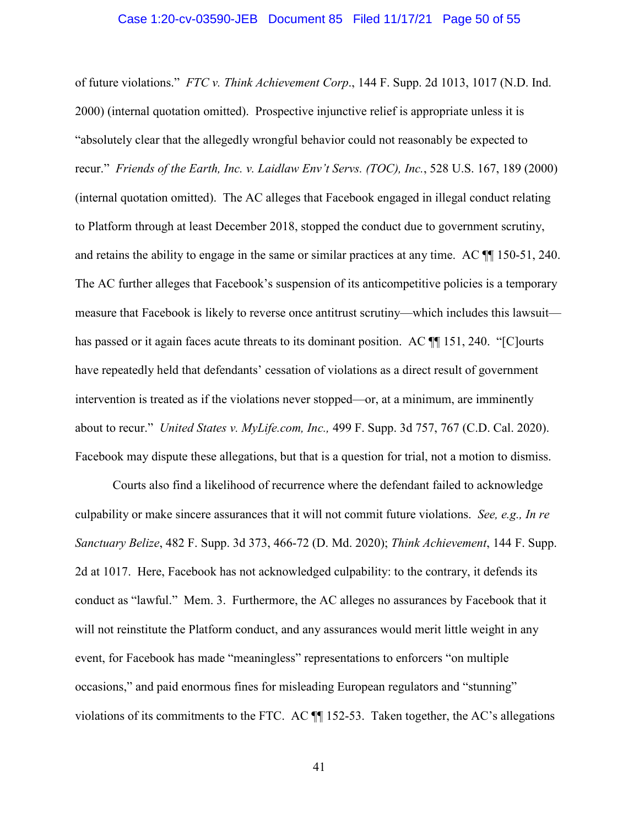#### Case 1:20-cv-03590-JEB Document 85 Filed 11/17/21 Page 50 of 55

<span id="page-49-0"></span> of future violations." *FTC v. Think Achievement Corp*., 144 F. Supp. 2d 1013, 1017 (N.D. Ind. "absolutely clear that the allegedly wrongful behavior could not reasonably be expected to to Platform through at least December 2018, stopped the conduct due to government scrutiny, and retains the ability to engage in the same or similar practices at any time. AC  $\P$  150-51, 240. about to recur." *United States v. [MyLife.com](https://MyLife.com), Inc.,* 499 F. Supp. 3d 757, 767 (C.D. Cal. 2020). 2000) (internal quotation omitted). Prospective injunctive relief is appropriate unless it is recur." *Friends of the Earth, Inc. v. Laidlaw Env't Servs. (TOC), Inc.*, 528 U.S. 167, 189 (2000) (internal quotation omitted). The AC alleges that Facebook engaged in illegal conduct relating The AC further alleges that Facebook's suspension of its anticompetitive policies is a temporary measure that Facebook is likely to reverse once antitrust scrutiny—which includes this lawsuit has passed or it again faces acute threats to its dominant position. AC  $\P$  151, 240. "[C]ourts have repeatedly held that defendants' cessation of violations as a direct result of government intervention is treated as if the violations never stopped—or, at a minimum, are imminently Facebook may dispute these allegations, but that is a question for trial, not a motion to dismiss.

 2d at 1017. Here, Facebook has not acknowledged culpability: to the contrary, it defends its will not reinstitute the Platform conduct, and any assurances would merit little weight in any event, for Facebook has made "meaningless" representations to enforcers "on multiple Courts also find a likelihood of recurrence where the defendant failed to acknowledge culpability or make sincere assurances that it will not commit future violations. *See, e.g., In re Sanctuary Belize*, 482 F. Supp. 3d 373, 466-72 (D. Md. 2020); *Think Achievement*, 144 F. Supp. conduct as "lawful." Mem. 3. Furthermore, the AC alleges no assurances by Facebook that it occasions," and paid enormous fines for misleading European regulators and "stunning" violations of its commitments to the FTC. AC ¶¶ 152-53. Taken together, the AC's allegations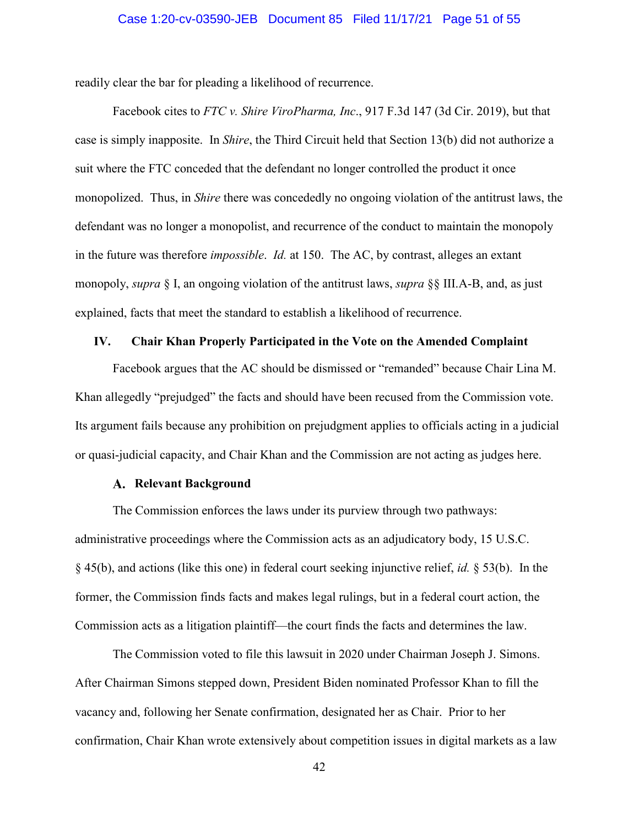#### Case 1:20-cv-03590-JEB Document 85 Filed 11/17/21 Page 51 of 55

<span id="page-50-0"></span>readily clear the bar for pleading a likelihood of recurrence.

 case is simply inapposite. In *Shire*, the Third Circuit held that Section 13(b) did not authorize a Facebook cites to *FTC v. Shire ViroPharma, Inc*., 917 F.3d 147 (3d Cir. 2019), but that suit where the FTC conceded that the defendant no longer controlled the product it once monopolized. Thus, in *Shire* there was concededly no ongoing violation of the antitrust laws, the defendant was no longer a monopolist, and recurrence of the conduct to maintain the monopoly in the future was therefore *impossible*. *Id.* at 150. The AC, by contrast, alleges an extant monopoly, *supra* § I, an ongoing violation of the antitrust laws, *supra* §§ III.A-B, and, as just explained, facts that meet the standard to establish a likelihood of recurrence.

#### **IV. Chair Khan Properly Participated in the Vote on the Amended Complaint**

 Facebook argues that the AC should be dismissed or "remanded" because Chair Lina M. Khan allegedly "prejudged" the facts and should have been recused from the Commission vote. Its argument fails because any prohibition on prejudgment applies to officials acting in a judicial or quasi-judicial capacity, and Chair Khan and the Commission are not acting as judges here.

#### **Relevant Background**

 § 45(b), and actions (like this one) in federal court seeking injunctive relief, *id.* § 53(b). In the The Commission enforces the laws under its purview through two pathways: administrative proceedings where the Commission acts as an adjudicatory body, 15 U.S.C. former, the Commission finds facts and makes legal rulings, but in a federal court action, the Commission acts as a litigation plaintiff—the court finds the facts and determines the law.

The Commission voted to file this lawsuit in 2020 under Chairman Joseph J. Simons. After Chairman Simons stepped down, President Biden nominated Professor Khan to fill the vacancy and, following her Senate confirmation, designated her as Chair. Prior to her confirmation, Chair Khan wrote extensively about competition issues in digital markets as a law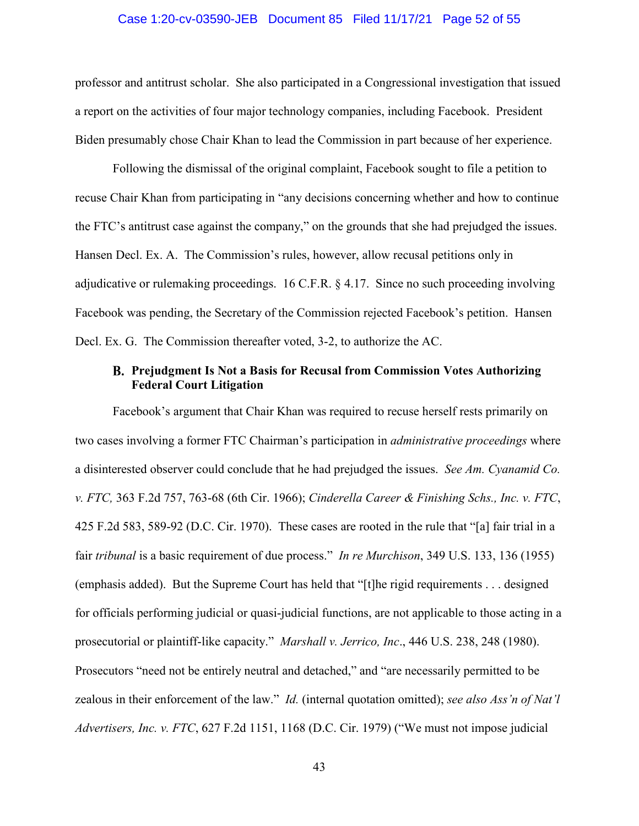#### Case 1:20-cv-03590-JEB Document 85 Filed 11/17/21 Page 52 of 55

<span id="page-51-0"></span> Biden presumably chose Chair Khan to lead the Commission in part because of her experience. professor and antitrust scholar. She also participated in a Congressional investigation that issued a report on the activities of four major technology companies, including Facebook. President

Following the dismissal of the original complaint, Facebook sought to file a petition to recuse Chair Khan from participating in "any decisions concerning whether and how to continue the FTC's antitrust case against the company," on the grounds that she had prejudged the issues. Hansen Decl. Ex. A. The Commission's rules, however, allow recusal petitions only in adjudicative or rulemaking proceedings. 16 C.F.R. § 4.17. Since no such proceeding involving Facebook was pending, the Secretary of the Commission rejected Facebook's petition. Hansen Decl. Ex. G. The Commission thereafter voted, 3-2, to authorize the AC.

## **Federal Court Litigation Prejudgment Is Not a Basis for Recusal from Commission Votes Authorizing**

 zealous in their enforcement of the law." *Id.* (internal quotation omitted); *see also Ass'n of Nat'l*  Facebook's argument that Chair Khan was required to recuse herself rests primarily on two cases involving a former FTC Chairman's participation in *administrative proceedings* where a disinterested observer could conclude that he had prejudged the issues. *See Am. Cyanamid Co. v. FTC,* 363 F.2d 757, 763-68 (6th Cir. 1966); *Cinderella Career & Finishing Schs., Inc. v. FTC*, 425 F.2d 583, 589-92 (D.C. Cir. 1970). These cases are rooted in the rule that "[a] fair trial in a fair *tribunal* is a basic requirement of due process." *In re Murchison*, 349 U.S. 133, 136 (1955) (emphasis added). But the Supreme Court has held that "[t]he rigid requirements . . . designed for officials performing judicial or quasi-judicial functions, are not applicable to those acting in a prosecutorial or plaintiff-like capacity." *Marshall v. Jerrico, Inc*., 446 U.S. 238, 248 (1980). Prosecutors "need not be entirely neutral and detached," and "are necessarily permitted to be *Advertisers, Inc. v. FTC*, 627 F.2d 1151, 1168 (D.C. Cir. 1979) ("We must not impose judicial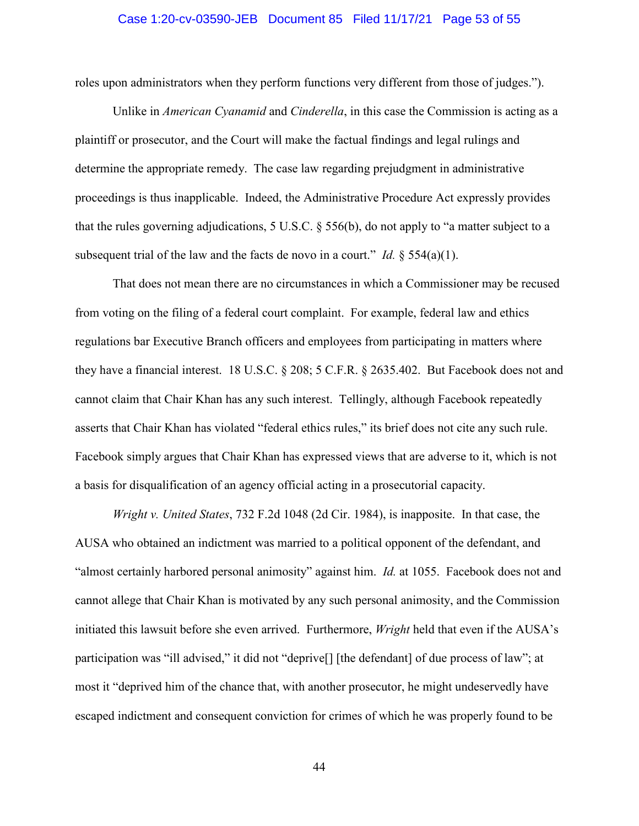#### Case 1:20-cv-03590-JEB Document 85 Filed 11/17/21 Page 53 of 55

<span id="page-52-0"></span>roles upon administrators when they perform functions very different from those of judges.").

 Unlike in *American Cyanamid* and *Cinderella*, in this case the Commission is acting as a determine the appropriate remedy. The case law regarding prejudgment in administrative subsequent trial of the law and the facts de novo in a court." *Id.*  $\S 554(a)(1)$ . plaintiff or prosecutor, and the Court will make the factual findings and legal rulings and proceedings is thus inapplicable. Indeed, the Administrative Procedure Act expressly provides that the rules governing adjudications, 5 U.S.C. § 556(b), do not apply to "a matter subject to a

 from voting on the filing of a federal court complaint. For example, federal law and ethics asserts that Chair Khan has violated "federal ethics rules," its brief does not cite any such rule. a basis for disqualification of an agency official acting in a prosecutorial capacity. That does not mean there are no circumstances in which a Commissioner may be recused regulations bar Executive Branch officers and employees from participating in matters where they have a financial interest. 18 U.S.C. § 208; 5 C.F.R. § 2635.402. But Facebook does not and cannot claim that Chair Khan has any such interest. Tellingly, although Facebook repeatedly Facebook simply argues that Chair Khan has expressed views that are adverse to it, which is not

 cannot allege that Chair Khan is motivated by any such personal animosity, and the Commission *Wright v. United States*, 732 F.2d 1048 (2d Cir. 1984), is inapposite. In that case, the AUSA who obtained an indictment was married to a political opponent of the defendant, and "almost certainly harbored personal animosity" against him. *Id.* at 1055. Facebook does not and initiated this lawsuit before she even arrived. Furthermore, *Wright* held that even if the AUSA's participation was "ill advised," it did not "deprive[] [the defendant] of due process of law"; at most it "deprived him of the chance that, with another prosecutor, he might undeservedly have escaped indictment and consequent conviction for crimes of which he was properly found to be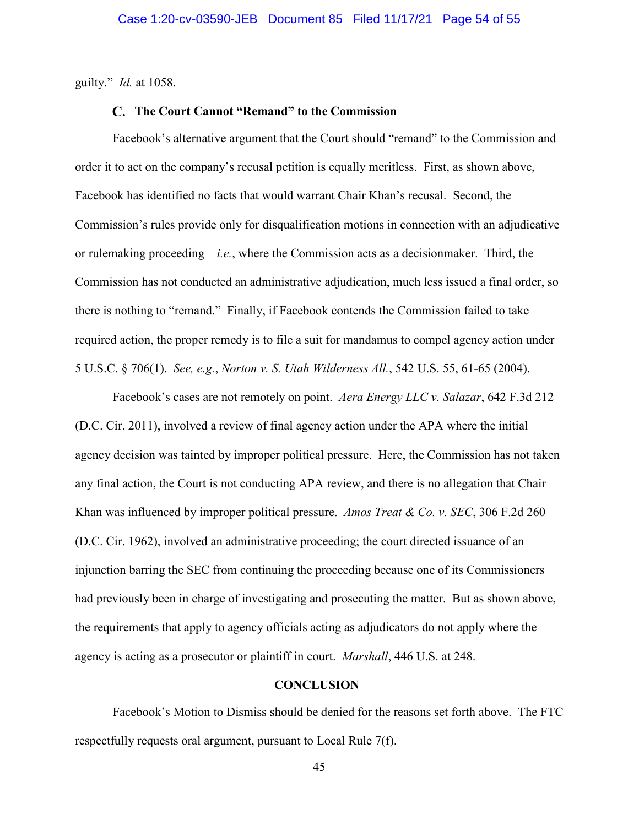<span id="page-53-0"></span>guilty." *Id.* at 1058.

#### **The Court Cannot "Remand" to the Commission**

 required action, the proper remedy is to file a suit for mandamus to compel agency action under Facebook's alternative argument that the Court should "remand" to the Commission and order it to act on the company's recusal petition is equally meritless. First, as shown above, Facebook has identified no facts that would warrant Chair Khan's recusal. Second, the Commission's rules provide only for disqualification motions in connection with an adjudicative or rulemaking proceeding—*i.e.*, where the Commission acts as a decisionmaker. Third, the Commission has not conducted an administrative adjudication, much less issued a final order, so there is nothing to "remand." Finally, if Facebook contends the Commission failed to take 5 U.S.C. § 706(1). *See, e.g.*, *Norton v. S. Utah Wilderness All.*, 542 U.S. 55, 61-65 (2004).

Facebook's cases are not remotely on point. *Aera Energy LLC v. Salazar*, 642 F.3d 212 (D.C. Cir. 2011), involved a review of final agency action under the APA where the initial agency decision was tainted by improper political pressure. Here, the Commission has not taken any final action, the Court is not conducting APA review, and there is no allegation that Chair Khan was influenced by improper political pressure. *Amos Treat & Co. v. SEC*, 306 F.2d 260 (D.C. Cir. 1962), involved an administrative proceeding; the court directed issuance of an injunction barring the SEC from continuing the proceeding because one of its Commissioners had previously been in charge of investigating and prosecuting the matter. But as shown above, the requirements that apply to agency officials acting as adjudicators do not apply where the agency is acting as a prosecutor or plaintiff in court. *Marshall*, 446 U.S. at 248.

#### **CONCLUSION**

Facebook's Motion to Dismiss should be denied for the reasons set forth above. The FTC respectfully requests oral argument, pursuant to Local Rule 7(f).